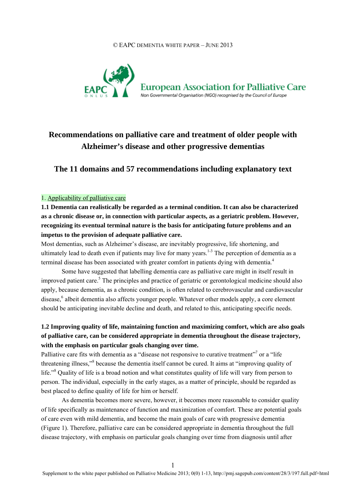#### © EAPC DEMENTIA WHITE PAPER – JUNE 2013



# **Recommendations on palliative care and treatment of older people with Alzheimer's disease and other progressive dementias**

**The 11 domains and 57 recommendations including explanatory text** 

#### 1. Applicability of palliative care

**1.1 Dementia can realistically be regarded as a terminal condition. It can also be characterized as a chronic disease or, in connection with particular aspects, as a geriatric problem. However, recognizing its eventual terminal nature is the basis for anticipating future problems and an impetus to the provision of adequate palliative care.** 

Most dementias, such as Alzheimer's disease, are inevitably progressive, life shortening, and ultimately lead to death even if patients may live for many years.<sup>1-3</sup> The perception of dementia as a terminal disease has been associated with greater comfort in patients dying with dementia.<sup>4</sup>

Some have suggested that labelling dementia care as palliative care might in itself result in improved patient care.<sup>5</sup> The principles and practice of geriatric or gerontological medicine should also apply, because dementia, as a chronic condition, is often related to cerebrovascular and cardiovascular disease,<sup>6</sup> albeit dementia also affects younger people. Whatever other models apply, a core element should be anticipating inevitable decline and death, and related to this, anticipating specific needs.

### **1.2 Improving quality of life, maintaining function and maximizing comfort, which are also goals of palliative care, can be considered appropriate in dementia throughout the disease trajectory, with the emphasis on particular goals changing over time.**

Palliative care fits with dementia as a "disease not responsive to curative treatment"<sup>7</sup> or a "life" threatening illness,"<sup>8</sup> because the dementia itself cannot be cured. It aims at "improving quality of life."<sup>8</sup> Quality of life is a broad notion and what constitutes quality of life will vary from person to person. The individual, especially in the early stages, as a matter of principle, should be regarded as best placed to define quality of life for him or herself.

As dementia becomes more severe, however, it becomes more reasonable to consider quality of life specifically as maintenance of function and maximization of comfort. These are potential goals of care even with mild dementia, and become the main goals of care with progressive dementia (Figure 1). Therefore, palliative care can be considered appropriate in dementia throughout the full disease trajectory, with emphasis on particular goals changing over time from diagnosis until after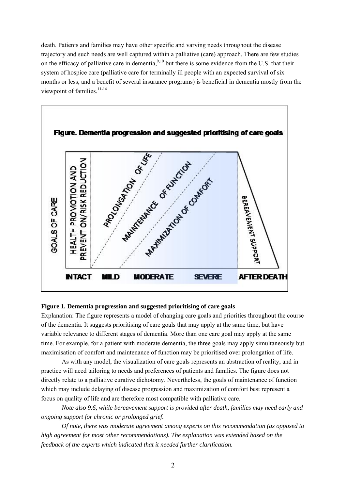death. Patients and families may have other specific and varying needs throughout the disease trajectory and such needs are well captured within a palliative (care) approach. There are few studies on the efficacy of palliative care in dementia,  $9,10$  but there is some evidence from the U.S. that their system of hospice care (palliative care for terminally ill people with an expected survival of six months or less, and a benefit of several insurance programs) is beneficial in dementia mostly from the viewpoint of families. $11-14$ 



#### **Figure 1. Dementia progression and suggested prioritising of care goals**

Explanation: The figure represents a model of changing care goals and priorities throughout the course of the dementia. It suggests prioritising of care goals that may apply at the same time, but have variable relevance to different stages of dementia. More than one care goal may apply at the same time. For example, for a patient with moderate dementia, the three goals may apply simultaneously but maximisation of comfort and maintenance of function may be prioritised over prolongation of life.

As with any model, the visualization of care goals represents an abstraction of reality, and in practice will need tailoring to needs and preferences of patients and families. The figure does not directly relate to a palliative curative dichotomy. Nevertheless, the goals of maintenance of function which may include delaying of disease progression and maximization of comfort best represent a focus on quality of life and are therefore most compatible with palliative care.

*Note also 9.6, while bereavement support is provided after death, families may need early and ongoing support for chronic or prolonged grief.* 

*Of note, there was moderate agreement among experts on this recommendation (as opposed to high agreement for most other recommendations). The explanation was extended based on the feedback of the experts which indicated that it needed further clarification.*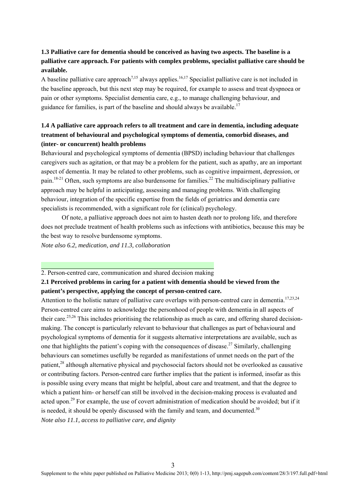### **1.3 Palliative care for dementia should be conceived as having two aspects. The baseline is a palliative care approach. For patients with complex problems, specialist palliative care should be available.**

A baseline palliative care approach<sup>7,15</sup> always applies.<sup>16,17</sup> Specialist palliative care is not included in the baseline approach, but this next step may be required, for example to assess and treat dyspnoea or pain or other symptoms. Specialist dementia care, e.g., to manage challenging behaviour, and guidance for families, is part of the baseline and should always be available.<sup>17</sup>

### **1.4 A palliative care approach refers to all treatment and care in dementia, including adequate treatment of behavioural and psychological symptoms of dementia, comorbid diseases, and (inter- or concurrent) health problems**

Behavioural and psychological symptoms of dementia (BPSD) including behaviour that challenges caregivers such as agitation, or that may be a problem for the patient, such as apathy, are an important aspect of dementia. It may be related to other problems, such as cognitive impairment, depression, or pain.<sup>18-21</sup> Often, such symptoms are also burdensome for families.<sup>22</sup> The multidisciplinary palliative approach may be helpful in anticipating, assessing and managing problems. With challenging behaviour, integration of the specific expertise from the fields of geriatrics and dementia care specialists is recommended, with a significant role for (clinical) psychology.

 Of note, a palliative approach does not aim to hasten death nor to prolong life, and therefore does not preclude treatment of health problems such as infections with antibiotics, because this may be the best way to resolve burdensome symptoms.

*Note also 6.2, medication, and 11.3, collaboration* 

#### 2. Person-centred care, communication and shared decision making

### **2.1 Perceived problems in caring for a patient with dementia should be viewed from the patient's perspective, applying the concept of person-centred care.**

Attention to the holistic nature of palliative care overlaps with person-centred care in dementia.<sup>17,23,24</sup> Person-centred care aims to acknowledge the personhood of people with dementia in all aspects of their care.<sup>25,26</sup> This includes prioritising the relationship as much as care, and offering shared decisionmaking. The concept is particularly relevant to behaviour that challenges as part of behavioural and psychological symptoms of dementia for it suggests alternative interpretations are available, such as one that highlights the patient's coping with the consequences of disease.<sup>27</sup> Similarly, challenging behaviours can sometimes usefully be regarded as manifestations of unmet needs on the part of the patient,28 although alternative physical and psychosocial factors should not be overlooked as causative or contributing factors. Person-centred care further implies that the patient is informed, insofar as this is possible using every means that might be helpful, about care and treatment, and that the degree to which a patient him- or herself can still be involved in the decision-making process is evaluated and acted upon.<sup>29</sup> For example, the use of covert administration of medication should be avoided; but if it is needed, it should be openly discussed with the family and team, and documented.<sup>30</sup> *Note also 11.1, access to palliative care, and dignity*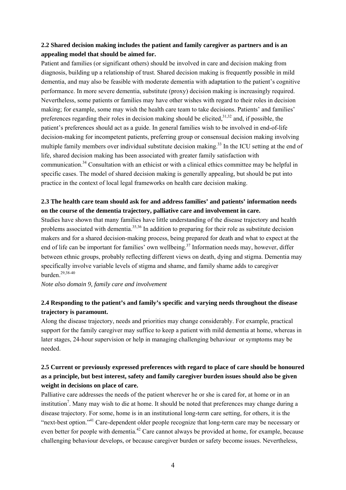#### **2.2 Shared decision making includes the patient and family caregiver as partners and is an appealing model that should be aimed for.**

Patient and families (or significant others) should be involved in care and decision making from diagnosis, building up a relationship of trust. Shared decision making is frequently possible in mild dementia, and may also be feasible with moderate dementia with adaptation to the patient's cognitive performance. In more severe dementia, substitute (proxy) decision making is increasingly required. Nevertheless, some patients or families may have other wishes with regard to their roles in decision making; for example, some may wish the health care team to take decisions. Patients' and families' preferences regarding their roles in decision making should be elicited, $31,32$  and, if possible, the patient's preferences should act as a guide. In general families wish to be involved in end-of-life decision-making for incompetent patients, preferring group or consensual decision making involving multiple family members over individual substitute decision making.<sup>33</sup> In the ICU setting at the end of life, shared decision making has been associated with greater family satisfaction with communication.34 Consultation with an ethicist or with a clinical ethics committee may be helpful in specific cases. The model of shared decision making is generally appealing, but should be put into practice in the context of local legal frameworks on health care decision making.

### **2.3 The health care team should ask for and address families' and patients' information needs on the course of the dementia trajectory, palliative care and involvement in care.**

Studies have shown that many families have little understanding of the disease trajectory and health problems associated with dementia.<sup>35,36</sup> In addition to preparing for their role as substitute decision makers and for a shared decision-making process, being prepared for death and what to expect at the end of life can be important for families' own wellbeing.<sup>37</sup> Information needs may, however, differ between ethnic groups, probably reflecting different views on death, dying and stigma. Dementia may specifically involve variable levels of stigma and shame, and family shame adds to caregiver burden.29,38-40

*Note also domain 9, family care and involvement* 

#### **2.4 Responding to the patient's and family's specific and varying needs throughout the disease trajectory is paramount.**

Along the disease trajectory, needs and priorities may change considerably. For example, practical support for the family caregiver may suffice to keep a patient with mild dementia at home, whereas in later stages, 24-hour supervision or help in managing challenging behaviour or symptoms may be needed.

### **2.5 Current or previously expressed preferences with regard to place of care should be honoured as a principle, but best interest, safety and family caregiver burden issues should also be given weight in decisions on place of care.**

Palliative care addresses the needs of the patient wherever he or she is cared for, at home or in an institution<sup>7</sup>. Many may wish to die at home. It should be noted that preferences may change during a disease trajectory. For some, home is in an institutional long-term care setting, for others, it is the "next-best option."41 Care-dependent older people recognize that long-term care may be necessary or even better for people with dementia.<sup>42</sup> Care cannot always be provided at home, for example, because challenging behaviour develops, or because caregiver burden or safety become issues. Nevertheless,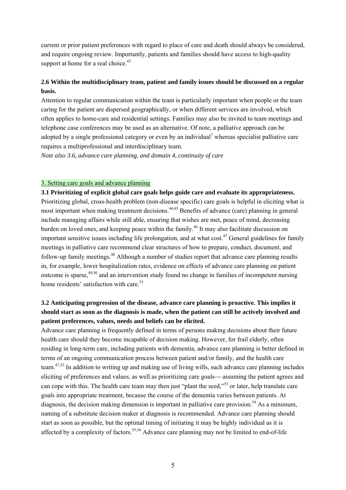current or prior patient preferences with regard to place of care and death should always be considered, and require ongoing review. Importantly, patients and families should have access to high-quality support at home for a real choice.<sup>43</sup>

### **2.6 Within the multidisciplinary team, patient and family issues should be discussed on a regular basis.**

Attention to regular communication within the team is particularly important when people or the team caring for the patient are dispersed geographically, or when different services are involved, which often applies to home-care and residential settings. Families may also be invited to team meetings and telephone case conferences may be used as an alternative. Of note, a palliative approach can be adopted by a single professional category or even by an individual<sup>7</sup> whereas specialist palliative care requires a multiprofessional and interdisciplinary team.

*Note also 3.6, advance care planning, and domain 4, continuity of care* 

#### 3. Setting care goals and advance planning

**3.1 Prioritizing of explicit global care goals helps guide care and evaluate its appropriateness.**  Prioritizing global, cross-health problem (non-disease specific) care goals is helpful in eliciting what is most important when making treatment decisions.<sup>44,45</sup> Benefits of advance (care) planning in general include managing affairs while still able, ensuring that wishes are met, peace of mind, decreasing burden on loved ones, and keeping peace within the family.<sup>46</sup> It may also facilitate discussion on important sensitive issues including life prolongation, and at what cost.<sup>47</sup> General guidelines for family meetings in palliative care recommend clear structures of how to prepare, conduct, document, and follow-up family meetings.<sup>48</sup> Although a number of studies report that advance care planning results in, for example, lower hospitalization rates, evidence on effects of advance care planning on patient outcome is sparse,  $49,50$  and an intervention study found no change in families of incompetent nursing home residents' satisfaction with care.<sup>51</sup>

### **3.2 Anticipating progression of the disease, advance care planning is proactive. This implies it should start as soon as the diagnosis is made, when the patient can still be actively involved and patient preferences, values, needs and beliefs can be elicited.**

Advance care planning is frequently defined in terms of persons making decisions about their future health care should they become incapable of decision making. However, for frail elderly, often residing in long-term care, including patients with dementia, advance care planning is better defined in terms of an ongoing communication process between patient and/or family, and the health care team.47,52 In addition to writing up and making use of living wills, such advance care planning includes eliciting of preferences and values, as well as prioritizing care goals—assuming the patient agrees and can cope with this. The health care team may then just "plant the seed,"53 or later, help translate care goals into appropriate treatment, because the course of the dementia varies between patients. At diagnosis, the decision making dimension is important in palliative care provision.<sup>54</sup> As a minimum, naming of a substitute decision maker at diagnosis is recommended. Advance care planning should start as soon as possible, but the optimal timing of initiating it may be highly individual as it is affected by a complexity of factors.<sup>55,56</sup> Advance care planning may not be limited to end-of-life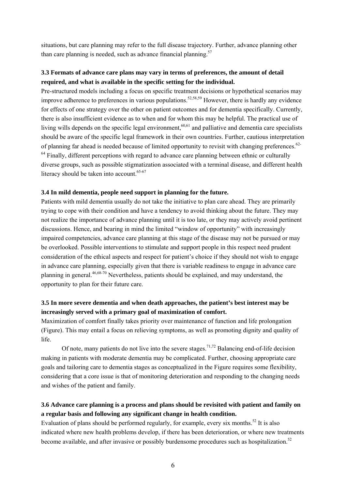situations, but care planning may refer to the full disease trajectory. Further, advance planning other than care planning is needed, such as advance financial planning. $57$ 

#### **3.3 Formats of advance care plans may vary in terms of preferences, the amount of detail required, and what is available in the specific setting for the individual.**

Pre-structured models including a focus on specific treatment decisions or hypothetical scenarios may improve adherence to preferences in various populations.<sup>52,58,59</sup> However, there is hardly any evidence for effects of one strategy over the other on patient outcomes and for dementia specifically. Currently, there is also insufficient evidence as to when and for whom this may be helpful. The practical use of living wills depends on the specific legal environment,  $60,61$  and palliative and dementia care specialists should be aware of the specific legal framework in their own countries. Further, cautious interpretation of planning far ahead is needed because of limited opportunity to revisit with changing preferences.62-  $<sup>64</sup>$  Finally, different perceptions with regard to advance care planning between ethnic or culturally</sup> diverse groups, such as possible stigmatization associated with a terminal disease, and different health literacy should be taken into account. $65-67$ 

#### **3.4 In mild dementia, people need support in planning for the future.**

Patients with mild dementia usually do not take the initiative to plan care ahead. They are primarily trying to cope with their condition and have a tendency to avoid thinking about the future. They may not realize the importance of advance planning until it is too late, or they may actively avoid pertinent discussions. Hence, and bearing in mind the limited "window of opportunity" with increasingly impaired competencies, advance care planning at this stage of the disease may not be pursued or may be overlooked. Possible interventions to stimulate and support people in this respect need prudent consideration of the ethical aspects and respect for patient's choice if they should not wish to engage in advance care planning, especially given that there is variable readiness to engage in advance care planning in general.46,68-70 Nevertheless, patients should be explained, and may understand, the opportunity to plan for their future care.

### **3.5 In more severe dementia and when death approaches, the patient's best interest may be increasingly served with a primary goal of maximization of comfort.**

Maximization of comfort finally takes priority over maintenance of function and life prolongation (Figure). This may entail a focus on relieving symptoms, as well as promoting dignity and quality of life.

Of note, many patients do not live into the severe stages.<sup> $71,72$ </sup> Balancing end-of-life decision making in patients with moderate dementia may be complicated. Further, choosing appropriate care goals and tailoring care to dementia stages as conceptualized in the Figure requires some flexibility, considering that a core issue is that of monitoring deterioration and responding to the changing needs and wishes of the patient and family.

### **3.6 Advance care planning is a process and plans should be revisited with patient and family on a regular basis and following any significant change in health condition.**

Evaluation of plans should be performed regularly, for example, every six months.<sup>52</sup> It is also indicated where new health problems develop, if there has been deterioration, or where new treatments become available, and after invasive or possibly burdensome procedures such as hospitalization.<sup>52</sup>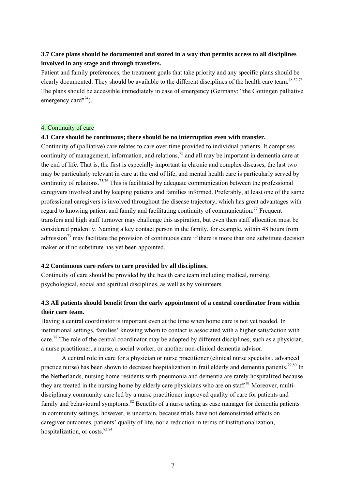### **3.7 Care plans should be documented and stored in a way that permits access to all disciplines involved in any stage and through transfers.**

Patient and family preferences, the treatment goals that take priority and any specific plans should be clearly documented. They should be available to the different disciplines of the health care team.<sup>48,52,73</sup> The plans should be accessible immediately in case of emergency (Germany: "the Gottingen palliative emergency card $174$ ).

#### 4. Continuity of care

#### **4.1 Care should be continuous; there should be no interruption even with transfer.**

Continuity of (palliative) care relates to care over time provided to individual patients. It comprises continuity of management, information, and relations,  $^{75}$  and all may be important in dementia care at the end of life. That is, the first is especially important in chronic and complex diseases, the last two may be particularly relevant in care at the end of life, and mental health care is particularly served by continuity of relations.75,76 This is facilitated by adequate communication between the professional caregivers involved and by keeping patients and families informed. Preferably, at least one of the same professional caregivers is involved throughout the disease trajectory, which has great advantages with regard to knowing patient and family and facilitating continuity of communication.<sup>77</sup> Frequent transfers and high staff turnover may challenge this aspiration, but even then staff allocation must be considered prudently. Naming a key contact person in the family, for example, within 48 hours from admission<sup>73</sup> may facilitate the provision of continuous care if there is more than one substitute decision maker or if no substitute has yet been appointed.

#### **4.2 Continuous care refers to care provided by all disciplines.**

Continuity of care should be provided by the health care team including medical, nursing, psychological, social and spiritual disciplines, as well as by volunteers.

### **4.3 All patients should benefit from the early appointment of a central coordinator from within their care team.**

Having a central coordinator is important even at the time when home care is not yet needed. In institutional settings, families' knowing whom to contact is associated with a higher satisfaction with care.<sup>78</sup> The role of the central coordinator may be adopted by different disciplines, such as a physician, a nurse practitioner, a nurse, a social worker, or another non-clinical dementia advisor.

A central role in care for a physician or nurse practitioner (clinical nurse specialist, advanced practice nurse) has been shown to decrease hospitalization in frail elderly and dementia patients.<sup>79,80</sup> In the Netherlands, nursing home residents with pneumonia and dementia are rarely hospitalized because they are treated in the nursing home by elderly care physicians who are on staff.<sup>81</sup> Moreover, multidisciplinary community care led by a nurse practitioner improved quality of care for patients and family and behavioural symptoms. $82$  Benefits of a nurse acting as case manager for dementia patients in community settings, however, is uncertain, because trials have not demonstrated effects on caregiver outcomes, patients' quality of life, nor a reduction in terms of institutionalization, hospitalization, or costs.<sup>83,84</sup>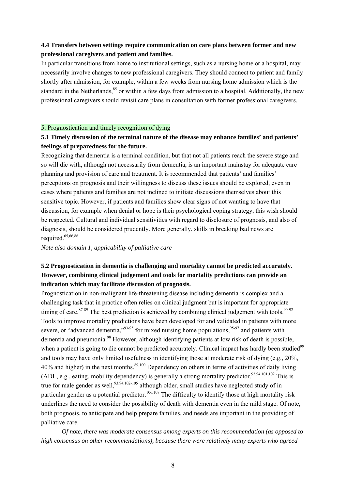#### **4.4 Transfers between settings require communication on care plans between former and new professional caregivers and patient and families.**

In particular transitions from home to institutional settings, such as a nursing home or a hospital, may necessarily involve changes to new professional caregivers. They should connect to patient and family shortly after admission, for example, within a few weeks from nursing home admission which is the standard in the Netherlands,<sup>85</sup> or within a few days from admission to a hospital. Additionally, the new professional caregivers should revisit care plans in consultation with former professional caregivers.

#### 5. Prognostication and timely recognition of dying

### **5.1 Timely discussion of the terminal nature of the disease may enhance families' and patients' feelings of preparedness for the future.**

Recognizing that dementia is a terminal condition, but that not all patients reach the severe stage and so will die with, although not necessarily from dementia, is an important mainstay for adequate care planning and provision of care and treatment. It is recommended that patients' and families' perceptions on prognosis and their willingness to discuss these issues should be explored, even in cases where patients and families are not inclined to initiate discussions themselves about this sensitive topic. However, if patients and families show clear signs of not wanting to have that discussion, for example when denial or hope is their psychological coping strategy, this wish should be respected. Cultural and individual sensitivities with regard to disclosure of prognosis, and also of diagnosis, should be considered prudently. More generally, skills in breaking bad news are required.<sup>65,66,86</sup>

*Note also domain 1, applicability of palliative care* 

### **5.2 Prognostication in dementia is challenging and mortality cannot be predicted accurately. However, combining clinical judgement and tools for mortality predictions can provide an indication which may facilitate discussion of prognosis.**

Prognostication in non-malignant life-threatening disease including dementia is complex and a challenging task that in practice often relies on clinical judgment but is important for appropriate timing of care. $87-89$  The best prediction is achieved by combining clinical judgement with tools.<sup>90-92</sup> Tools to improve mortality predictions have been developed for and validated in patients with more severe, or "advanced dementia," $93-95$  for mixed nursing home populations, $95-97$  and patients with dementia and pneumonia.<sup>98</sup> However, although identifying patients at low risk of death is possible, when a patient is going to die cannot be predicted accurately. Clinical impact has hardly been studied<sup>99</sup> and tools may have only limited usefulness in identifying those at moderate risk of dying (e.g., 20%, 40% and higher) in the next months.<sup>89,100</sup> Dependency on others in terms of activities of daily living (ADL, e.g., eating, mobility dependency) is generally a strong mortality predictor.<sup>93,94,101,102</sup> This is true for male gender as well,  $93,94,102-105$  although older, small studies have neglected study of in particular gender as a potential predictor.<sup>106,107</sup> The difficulty to identify those at high mortality risk underlines the need to consider the possibility of death with dementia even in the mild stage. Of note, both prognosis, to anticipate and help prepare families, and needs are important in the providing of palliative care.

*Of note, there was moderate consensus among experts on this recommendation (as opposed to high consensus on other recommendations), because there were relatively many experts who agreed*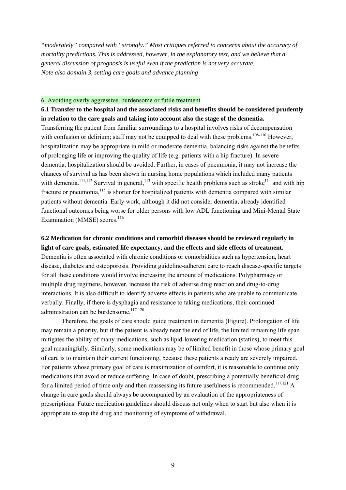*"moderately" compared with "strongly." Most critiques referred to concerns about the accuracy of mortality predictions. This is addressed, however, in the explanatory text, and we believe that a general discussion of prognosis is useful even if the prediction is not very accurate. Note also domain 3, setting care goals and advance planning* 

#### 6. Avoiding overly aggressive, burdensome or futile treatment

**6.1 Transfer to the hospital and the associated risks and benefits should be considered prudently in relation to the care goals and taking into account also the stage of the dementia.**  Transferring the patient from familiar surroundings to a hospital involves risks of decompensation with confusion or delirium; staff may not be equipped to deal with these problems.<sup>108-110</sup> However. hospitalization may be appropriate in mild or moderate dementia, balancing risks against the benefits of prolonging life or improving the quality of life (e.g. patients with a hip fracture). In severe dementia, hospitalization should be avoided. Further, in cases of pneumonia, it may not increase the chances of survival as has been shown in nursing home populations which included many patients with dementia.<sup>111,112</sup> Survival in general,<sup>113</sup> with specific health problems such as stroke<sup>114</sup> and with hip fracture or pneumonia,<sup>115</sup> is shorter for hospitalized patients with dementia compared with similar patients without dementia. Early work, although it did not consider dementia, already identified functional outcomes being worse for older persons with low ADL functioning and Mini-Mental State Examination (MMSE) scores. $116$ 

#### **6.2 Medication for chronic conditions and comorbid diseases should be reviewed regularly in light of care goals, estimated life expectancy, and the effects and side effects of treatment.**

Dementia is often associated with chronic conditions or comorbidities such as hypertension, heart disease, diabetes and osteoporosis. Providing guideline-adherent care to reach disease-specific targets for all these conditions would involve increasing the amount of medications. Polypharmacy or multiple drug regimens, however, increase the risk of adverse drug reaction and drug-to-drug interactions. It is also difficult to identify adverse effects in patients who are unable to communicate verbally. Finally, if there is dysphagia and resistance to taking medications, their continued administration can be burdensome.<sup>117-120</sup>

Therefore, the goals of care should guide treatment in dementia (Figure). Prolongation of life may remain a priority, but if the patient is already near the end of life, the limited remaining life span mitigates the ability of many medications, such as lipid-lowering medication (statins), to meet this goal meaningfully. Similarly, some medications may be of limited benefit in those whose primary goal of care is to maintain their current functioning, because these patients already are severely impaired. For patients whose primary goal of care is maximization of comfort, it is reasonable to continue only medications that avoid or reduce suffering. In case of doubt, prescribing a potentially beneficial drug for a limited period of time only and then reassessing its future usefulness is recommended.<sup>117,121</sup> A change in care goals should always be accompanied by an evaluation of the appropriateness of prescriptions. Future medication guidelines should discuss not only when to start but also when it is appropriate to stop the drug and monitoring of symptoms of withdrawal.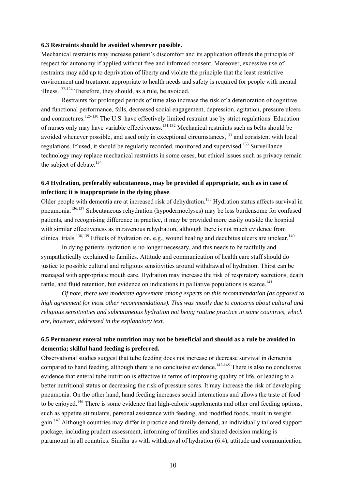#### **6.3 Restraints should be avoided whenever possible.**

Mechanical restraints may increase patient's discomfort and its application offends the principle of respect for autonomy if applied without free and informed consent. Moreover, excessive use of restraints may add up to deprivation of liberty and violate the principle that the least restrictive environment and treatment appropriate to health needs and safety is required for people with mental illness.<sup>122-124</sup> Therefore, they should, as a rule, be avoided.

Restraints for prolonged periods of time also increase the risk of a deterioration of cognitive and functional performance, falls, decreased social engagement, depression, agitation, pressure ulcers and contractures.<sup>125-130</sup> The U.S. have effectively limited restraint use by strict regulations. Education of nurses only may have variable effectiveness.131,132 Mechanical restraints such as belts should be avoided whenever possible, and used only in exceptional circumstances,<sup>133</sup> and consistent with local regulations. If used, it should be regularly recorded, monitored and supervised.<sup>133</sup> Surveillance technology may replace mechanical restraints in some cases, but ethical issues such as privacy remain the subject of debate.<sup>134</sup>

#### **6.4 Hydration, preferably subcutaneous, may be provided if appropriate, such as in case of infection; it is inappropriate in the dying phase**.

Older people with dementia are at increased risk of dehydration.<sup>135</sup> Hydration status affects survival in pneumonia.136,137 Subcutaneous rehydration (hypodermoclyses) may be less burdensome for confused patients, and recognising difference in practice, it may be provided more easily outside the hospital with similar effectiveness as intravenous rehydration, although there is not much evidence from clinical trials.<sup>138,139</sup> Effects of hydration on, e.g., wound healing and decubitus ulcers are unclear.<sup>140</sup>

In dying patients hydration is no longer necessary, and this needs to be tactfully and sympathetically explained to families. Attitude and communication of health care staff should do justice to possible cultural and religious sensitivities around withdrawal of hydration. Thirst can be managed with appropriate mouth care. Hydration may increase the risk of respiratory secretions, death rattle, and fluid retention, but evidence on indications in palliative populations is scarce.<sup>141</sup>

*Of note, there was moderate agreement among experts on this recommendation (as opposed to high agreement for most other recommendations). This was mostly due to concerns about cultural and religious sensitivities and subcutaneous hydration not being routine practice in some countries, which are, however, addressed in the explanatory text.* 

#### **6.5 Permanent enteral tube nutrition may not be beneficial and should as a rule be avoided in dementia; skilful hand feeding is preferred.**

Observational studies suggest that tube feeding does not increase or decrease survival in dementia compared to hand feeding, although there is no conclusive evidence.<sup>142-145</sup> There is also no conclusive evidence that enteral tube nutrition is effective in terms of improving quality of life, or leading to a better nutritional status or decreasing the risk of pressure sores. It may increase the risk of developing pneumonia. On the other hand, hand feeding increases social interactions and allows the taste of food to be enjoyed.146 There is some evidence that high-calorie supplements and other oral feeding options, such as appetite stimulants, personal assistance with feeding, and modified foods, result in weight gain.<sup>147</sup> Although countries may differ in practice and family demand, an individually tailored support package, including prudent assessment, informing of families and shared decision making is paramount in all countries. Similar as with withdrawal of hydration (6.4), attitude and communication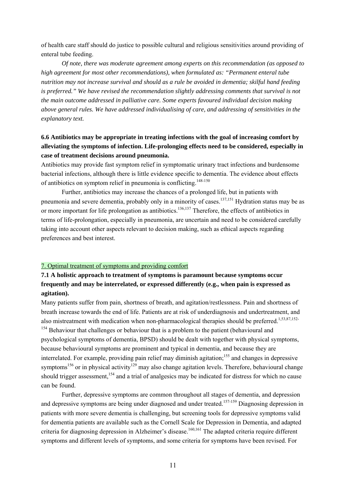of health care staff should do justice to possible cultural and religious sensitivities around providing of enteral tube feeding.

*Of note, there was moderate agreement among experts on this recommendation (as opposed to high agreement for most other recommendations), when formulated as: "Permanent enteral tube nutrition may not increase survival and should as a rule be avoided in dementia; skilful hand feeding is preferred." We have revised the recommendation slightly addressing comments that survival is not the main outcome addressed in palliative care. Some experts favoured individual decision making above general rules. We have addressed individualising of care, and addressing of sensitivities in the explanatory text.* 

### **6.6 Antibiotics may be appropriate in treating infections with the goal of increasing comfort by alleviating the symptoms of infection. Life-prolonging effects need to be considered, especially in case of treatment decisions around pneumonia.**

Antibiotics may provide fast symptom relief in symptomatic urinary tract infections and burdensome bacterial infections, although there is little evidence specific to dementia. The evidence about effects of antibiotics on symptom relief in pneumonia is conflicting.<sup>148-150</sup>

Further, antibiotics may increase the chances of a prolonged life, but in patients with pneumonia and severe dementia, probably only in a minority of cases.<sup>137,151</sup> Hydration status may be as or more important for life prolongation as antibiotics.<sup>136,137</sup> Therefore, the effects of antibiotics in terms of life-prolongation, especially in pneumonia, are uncertain and need to be considered carefully taking into account other aspects relevant to decision making, such as ethical aspects regarding preferences and best interest.

#### 7. Optimal treatment of symptoms and providing comfort

### **7.1 A holistic approach to treatment of symptoms is paramount because symptoms occur frequently and may be interrelated, or expressed differently (e.g., when pain is expressed as agitation).**

Many patients suffer from pain, shortness of breath, and agitation/restlessness. Pain and shortness of breath increase towards the end of life. Patients are at risk of underdiagnosis and undertreatment, and also mistreatment with medication when non-pharmacological therapies should be preferred.<sup>1,53,87,152-</sup> <sup>154</sup> Behaviour that challenges or behaviour that is a problem to the patient (behavioural and psychological symptoms of dementia, BPSD) should be dealt with together with physical symptoms, because behavioural symptoms are prominent and typical in dementia, and because they are interrelated. For example, providing pain relief may diminish agitation;<sup>155</sup> and changes in depressive symptoms<sup>156</sup> or in physical activity<sup>129</sup> may also change agitation levels. Therefore, behavioural change should trigger assessment,<sup>154</sup> and a trial of analgesics may be indicated for distress for which no cause can be found.

Further, depressive symptoms are common throughout all stages of dementia, and depression and depressive symptoms are being under diagnosed and under treated.<sup>157-159</sup> Diagnosing depression in patients with more severe dementia is challenging, but screening tools for depressive symptoms valid for dementia patients are available such as the Cornell Scale for Depression in Dementia, and adapted criteria for diagnosing depression in Alzheimer's disease.<sup>160,161</sup> The adapted criteria require different symptoms and different levels of symptoms, and some criteria for symptoms have been revised. For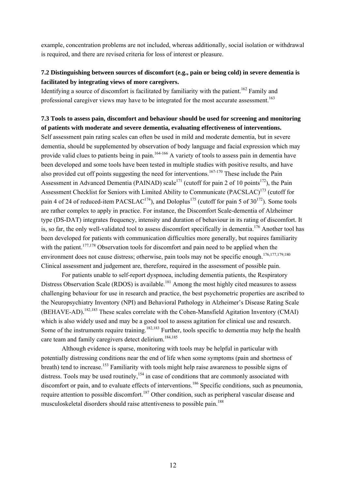example, concentration problems are not included, whereas additionally, social isolation or withdrawal is required, and there are revised criteria for loss of interest or pleasure.

#### **7.2 Distinguishing between sources of discomfort (e.g., pain or being cold) in severe dementia is facilitated by integrating views of more caregivers.**

Identifying a source of discomfort is facilitated by familiarity with the patient.<sup>162</sup> Family and professional caregiver views may have to be integrated for the most accurate assessment.<sup>163</sup>

#### **7.3 Tools to assess pain, discomfort and behaviour should be used for screening and monitoring of patients with moderate and severe dementia, evaluating effectiveness of interventions.**

Self assessment pain rating scales can often be used in mild and moderate dementia, but in severe dementia, should be supplemented by observation of body language and facial expression which may provide valid clues to patients being in pain.<sup>164-166</sup> A variety of tools to assess pain in dementia have been developed and some tools have been tested in multiple studies with positive results, and have also provided cut off points suggesting the need for interventions.<sup>167-170</sup> These include the Pain Assessment in Advanced Dementia (PAINAD) scale<sup>171</sup> (cutoff for pain 2 of 10 points<sup>172</sup>), the Pain Assessment Checklist for Seniors with Limited Ability to Communicate (PACSLAC)<sup>173</sup> (cutoff for pain 4 of 24 of reduced-item PACSLAC<sup>174</sup>), and Doloplus<sup>175</sup> (cutoff for pain 5 of  $30^{172}$ ). Some tools are rather complex to apply in practice. For instance, the Discomfort Scale-dementia of Alzheimer type (DS-DAT) integrates frequency, intensity and duration of behaviour in its rating of discomfort. It is, so far, the only well-validated tool to assess discomfort specifically in dementia.<sup>176</sup> Another tool has been developed for patients with communication difficulties more generally, but requires familiarity with the patient.<sup>177,178</sup> Observation tools for discomfort and pain need to be applied when the environment does not cause distress; otherwise, pain tools may not be specific enough.<sup>176,177,179,180</sup> Clinical assessment and judgement are, therefore, required in the assessment of possible pain.

For patients unable to self-report dyspnoea, including dementia patients, the Respiratory Distress Observation Scale (RDOS) is available.<sup>181</sup> Among the most highly cited measures to assess challenging behaviour for use in research and practice, the best psychometric properties are ascribed to the Neuropsychiatry Inventory (NPI) and Behavioral Pathology in Alzheimer's Disease Rating Scale (BEHAVE-AD).<sup>182,183</sup> These scales correlate with the Cohen-Mansfield Agitation Inventory (CMAI) which is also widely used and may be a good tool to assess agitation for clinical use and research. Some of the instruments require training.<sup>182,183</sup> Further, tools specific to dementia may help the health care team and family caregivers detect delirium.<sup>184,185</sup>

Although evidence is sparse, monitoring with tools may be helpful in particular with potentially distressing conditions near the end of life when some symptoms (pain and shortness of breath) tend to increase.<sup>153</sup> Familiarity with tools might help raise awareness to possible signs of distress. Tools may be used routinely,  $154$  in case of conditions that are commonly associated with discomfort or pain, and to evaluate effects of interventions.<sup>186</sup> Specific conditions, such as pneumonia, require attention to possible discomfort.<sup>187</sup> Other condition, such as peripheral vascular disease and musculoskeletal disorders should raise attentiveness to possible pain.<sup>188</sup>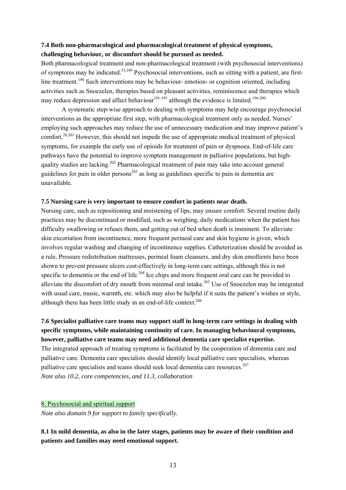#### **7.4 Both non-pharmacological and pharmacological treatment of physical symptoms, challenging behaviour, or discomfort should be pursued as needed.**

Both pharmacological treatment and non-pharmacological treatment (with psychosocial interventions) of symptoms may be indicated.53,189 Psychosocial interventions, such as sitting with a patient, are firstline treatment.<sup>190</sup> Such interventions may be behaviour- emotion- or cognition oriented, including activities such as Snoezelen, therapies based on pleasant activities, reminiscence and therapies which may reduce depression and affect behaviour<sup>191-195</sup> although the evidence is limited.<sup>196-200</sup>

A systematic step-wise approach to dealing with symptoms may help encourage psychosocial interventions as the appropriate first step, with pharmacological treatment only as needed. Nurses' employing such approaches may reduce the use of unnecessary medication and may improve patient's comfort.20,201 However, this should not impede the use of appropriate medical treatment of physical symptoms, for example the early use of opioids for treatment of pain or dyspnoea. End-of-life care pathways have the potential to improve symptom management in palliative populations, but highquality studies are lacking.<sup>202</sup> Pharmacological treatment of pain may take into account general guidelines for pain in older persons<sup>203</sup> as long as guidelines specific to pain in dementia are unavailable.

#### **7.5 Nursing care is very important to ensure comfort in patients near death.**

Nursing care, such as repositioning and moistening of lips, may ensure comfort. Several routine daily practices may be discontinued or modified, such as weighing, daily medications when the patient has difficulty swallowing or refuses them, and getting out of bed when death is imminent. To alleviate skin excoriation from incontinence, more frequent perineal care and skin hygiene is given, which involves regular washing and changing of incontinence supplies. Catheterization should be avoided as a rule. Pressure redistribution mattresses, perineal foam cleansers, and dry skin emollients have been shown to prevent pressure ulcers cost-effectively in long-term care settings, although this is not specific to dementia or the end of life.<sup>204</sup> Ice chips and more frequent oral care can be provided to alleviate the discomfort of dry mouth from minimal oral intake  $^{205}$  Use of Snoezelen may be integrated with usual care, music, warmth, etc. which may also be helpful if it suits the patient's wishes or style. although there has been little study in an end-of-life context.<sup>206</sup>

**7.6 Specialist palliative care teams may support staff in long-term care settings in dealing with specific symptoms, while maintaining continuity of care. In managing behavioural symptoms, however, palliative care teams may need additional dementia care specialist expertise.**  The integrated approach of treating symptoms is facilitated by the cooperation of dementia care and palliative care. Dementia care specialists should identify local palliative care specialists, whereas palliative care specialists and teams should seek local dementia care resources.<sup>207</sup> *Note also 10.2, core competencies, and 11.3, collaboration* 

#### 8. Psychosocial and spiritual support

*Note also domain 9 for support to family specifically.* 

**8.1 In mild dementia, as also in the later stages, patients may be aware of their condition and patients and families may need emotional support.**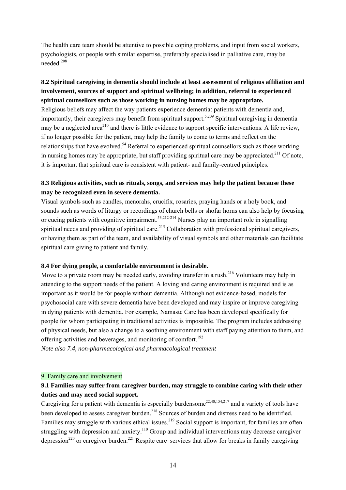The health care team should be attentive to possible coping problems, and input from social workers, psychologists, or people with similar expertise, preferably specialised in palliative care, may be needed.<sup>208</sup>

### **8.2 Spiritual caregiving in dementia should include at least assessment of religious affiliation and involvement, sources of support and spiritual wellbeing; in addition, referral to experienced spiritual counsellors such as those working in nursing homes may be appropriate.**

Religious beliefs may affect the way patients experience dementia: patients with dementia and, importantly, their caregivers may benefit from spiritual support.5,209 Spiritual caregiving in dementia may be a neglected area<sup>210</sup> and there is little evidence to support specific interventions. A life review, if no longer possible for the patient, may help the family to come to terms and reflect on the relationships that have evolved.<sup>54</sup> Referral to experienced spiritual counsellors such as those working in nursing homes may be appropriate, but staff providing spiritual care may be appreciated.<sup>211</sup> Of note, it is important that spiritual care is consistent with patient- and family-centred principles.

### **8.3 Religious activities, such as rituals, songs, and services may help the patient because these may be recognized even in severe dementia.**

Visual symbols such as candles, menorahs, crucifix, rosaries, praying hands or a holy book, and sounds such as words of liturgy or recordings of church bells or shofar horns can also help by focusing or cueing patients with cognitive impairment.<sup>53,212-214</sup> Nurses play an important role in signalling spiritual needs and providing of spiritual care.<sup>215</sup> Collaboration with professional spiritual caregivers, or having them as part of the team, and availability of visual symbols and other materials can facilitate spiritual care giving to patient and family.

#### **8.4 For dying people, a comfortable environment is desirable.**

Move to a private room may be needed early, avoiding transfer in a rush.<sup>216</sup> Volunteers may help in attending to the support needs of the patient. A loving and caring environment is required and is as important as it would be for people without dementia. Although not evidence-based, models for psychosocial care with severe dementia have been developed and may inspire or improve caregiving in dying patients with dementia. For example, Namaste Care has been developed specifically for people for whom participating in traditional activities is impossible. The program includes addressing of physical needs, but also a change to a soothing environment with staff paying attention to them, and offering activities and beverages, and monitoring of comfort.<sup>192</sup>

*Note also 7.4, non-pharmacological and pharmacological treatment* 

#### 9. Family care and involvement

### **9.1 Families may suffer from caregiver burden, may struggle to combine caring with their other duties and may need social support.**

Caregiving for a patient with dementia is especially burdensome<sup>22,40,154,217</sup> and a variety of tools have been developed to assess caregiver burden.<sup>218</sup> Sources of burden and distress need to be identified. Families may struggle with various ethical issues.<sup>219</sup> Social support is important, for families are often struggling with depression and anxiety.<sup>110</sup> Group and individual interventions may decrease caregiver depression<sup>220</sup> or caregiver burden.<sup>221</sup> Respite care–services that allow for breaks in family caregiving –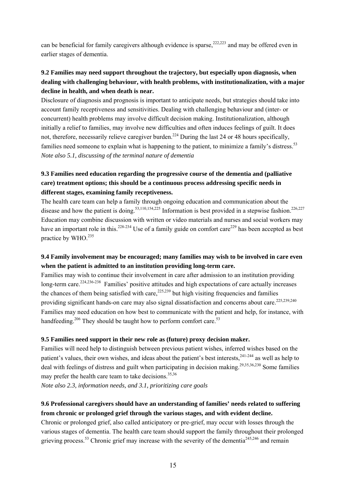can be beneficial for family caregivers although evidence is sparse,  $222,223$  and may be offered even in earlier stages of dementia.

# **9.2 Families may need support throughout the trajectory, but especially upon diagnosis, when dealing with challenging behaviour, with health problems, with institutionalization, with a major decline in health, and when death is near.**

Disclosure of diagnosis and prognosis is important to anticipate needs, but strategies should take into account family receptiveness and sensitivities. Dealing with challenging behaviour and (inter- or concurrent) health problems may involve difficult decision making. Institutionalization, although initially a relief to families, may involve new difficulties and often induces feelings of guilt. It does not, therefore, necessarily relieve caregiver burden.<sup>224</sup> During the last 24 or 48 hours specifically, families need someone to explain what is happening to the patient, to minimize a family's distress.<sup>53</sup> *Note also 5.1, discussing of the terminal nature of dementia* 

### **9.3 Families need education regarding the progressive course of the dementia and (palliative care) treatment options; this should be a continuous process addressing specific needs in different stages, examining family receptiveness.**

The health care team can help a family through ongoing education and communication about the disease and how the patient is doing.<sup>53,110,154,225</sup> Information is best provided in a stepwise fashion.<sup>226,227</sup> Education may combine discussion with written or video materials and nurses and social workers may have an important role in this.<sup>228-234</sup> Use of a family guide on comfort care<sup>229</sup> has been accepted as best practice by WHO.<sup>235</sup>

### **9.4 Family involvement may be encouraged; many families may wish to be involved in care even when the patient is admitted to an institution providing long-term care.**

Families may wish to continue their involvement in care after admission to an institution providing long-term care.<sup>224,236-238</sup> Families' positive attitudes and high expectations of care actually increases the chances of them being satisfied with care,  $225,239$  but high visiting frequencies and families providing significant hands-on care may also signal dissatisfaction and concerns about care.<sup>225,239,240</sup> Families may need education on how best to communicate with the patient and help, for instance, with handfeeding.<sup>206</sup> They should be taught how to perform comfort care.<sup>53</sup>

#### **9.5 Families need support in their new role as (future) proxy decision maker.**

Families will need help to distinguish between previous patient wishes, inferred wishes based on the patient's values, their own wishes, and ideas about the patient's best interests, <sup>241-244</sup> as well as help to deal with feelings of distress and guilt when participating in decision making.<sup>29,35,36,230</sup> Some families may prefer the health care team to take decisions.<sup>35,36</sup>

*Note also 2.3, information needs, and 3.1, prioritizing care goals* 

# **9.6 Professional caregivers should have an understanding of families' needs related to suffering from chronic or prolonged grief through the various stages, and with evident decline.**

Chronic or prolonged grief, also called anticipatory or pre-grief, may occur with losses through the various stages of dementia. The health care team should support the family throughout their prolonged grieving process.<sup>53</sup> Chronic grief may increase with the severity of the dementia<sup>245,246</sup> and remain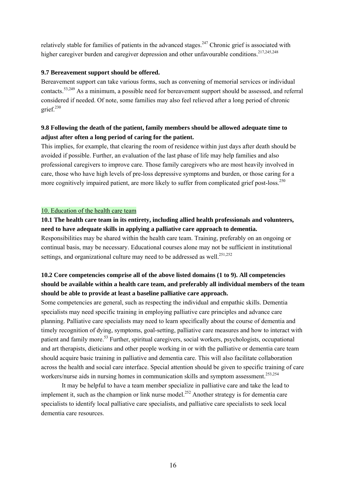relatively stable for families of patients in the advanced stages.<sup>247</sup> Chronic grief is associated with higher caregiver burden and caregiver depression and other unfavourable conditions.<sup>217,245,248</sup>

#### **9.7 Bereavement support should be offered.**

Bereavement support can take various forms, such as convening of memorial services or individual contacts.53,249 As a minimum, a possible need for bereavement support should be assessed, and referral considered if needed. Of note, some families may also feel relieved after a long period of chronic grief. $230$ 

### **9.8 Following the death of the patient, family members should be allowed adequate time to adjust after often a long period of caring for the patient.**

This implies, for example, that clearing the room of residence within just days after death should be avoided if possible. Further, an evaluation of the last phase of life may help families and also professional caregivers to improve care. Those family caregivers who are most heavily involved in care, those who have high levels of pre-loss depressive symptoms and burden, or those caring for a more cognitively impaired patient, are more likely to suffer from complicated grief post-loss.<sup>250</sup>

#### 10. Education of the health care team

#### **10.1 The health care team in its entirety, including allied health professionals and volunteers, need to have adequate skills in applying a palliative care approach to dementia.**

Responsibilities may be shared within the health care team. Training, preferably on an ongoing or continual basis, may be necessary. Educational courses alone may not be sufficient in institutional settings, and organizational culture may need to be addressed as well.<sup>251,252</sup>

### **10.2 Core competencies comprise all of the above listed domains (1 to 9). All competencies should be available within a health care team, and preferably all individual members of the team should be able to provide at least a baseline palliative care approach.**

Some competencies are general, such as respecting the individual and empathic skills. Dementia specialists may need specific training in employing palliative care principles and advance care planning. Palliative care specialists may need to learn specifically about the course of dementia and timely recognition of dying, symptoms, goal-setting, palliative care measures and how to interact with patient and family more.53 Further, spiritual caregivers, social workers, psychologists, occupational and art therapists, dieticians and other people working in or with the palliative or dementia care team should acquire basic training in palliative and dementia care. This will also facilitate collaboration across the health and social care interface. Special attention should be given to specific training of care workers/nurse aids in nursing homes in communication skills and symptom assessment.<sup>253,254</sup>

 It may be helpful to have a team member specialize in palliative care and take the lead to implement it, such as the champion or link nurse model.<sup>252</sup> Another strategy is for dementia care specialists to identify local palliative care specialists, and palliative care specialists to seek local dementia care resources.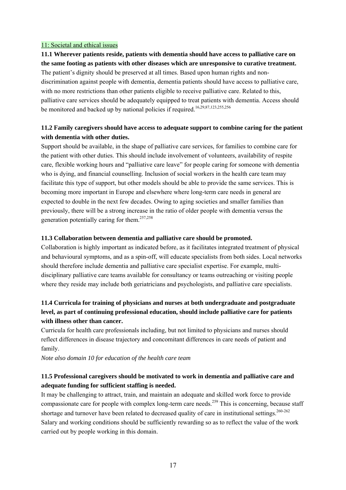#### 11: Societal and ethical issues

**11.1 Wherever patients reside, patients with dementia should have access to palliative care on the same footing as patients with other diseases which are unresponsive to curative treatment.**  The patient's dignity should be preserved at all times. Based upon human rights and nondiscrimination against people with dementia, dementia patients should have access to palliative care, with no more restrictions than other patients eligible to receive palliative care. Related to this, palliative care services should be adequately equipped to treat patients with dementia. Access should be monitored and backed up by national policies if required.<sup>16,29,87,123,255,256</sup>

### **11.2 Family caregivers should have access to adequate support to combine caring for the patient with dementia with other duties.**

Support should be available, in the shape of palliative care services, for families to combine care for the patient with other duties. This should include involvement of volunteers, availability of respite care, flexible working hours and "palliative care leave" for people caring for someone with dementia who is dying, and financial counselling. Inclusion of social workers in the health care team may facilitate this type of support, but other models should be able to provide the same services. This is becoming more important in Europe and elsewhere where long-term care needs in general are expected to double in the next few decades. Owing to aging societies and smaller families than previously, there will be a strong increase in the ratio of older people with dementia versus the generation potentially caring for them.257,258

#### **11.3 Collaboration between dementia and palliative care should be promoted.**

Collaboration is highly important as indicated before, as it facilitates integrated treatment of physical and behavioural symptoms, and as a spin-off, will educate specialists from both sides. Local networks should therefore include dementia and palliative care specialist expertise. For example, multidisciplinary palliative care teams available for consultancy or teams outreaching or visiting people where they reside may include both geriatricians and psychologists, and palliative care specialists.

### **11.4 Curricula for training of physicians and nurses at both undergraduate and postgraduate level, as part of continuing professional education, should include palliative care for patients with illness other than cancer.**

Curricula for health care professionals including, but not limited to physicians and nurses should reflect differences in disease trajectory and concomitant differences in care needs of patient and family.

*Note also domain 10 for education of the health care team* 

#### **11.5 Professional caregivers should be motivated to work in dementia and palliative care and adequate funding for sufficient staffing is needed.**

It may be challenging to attract, train, and maintain an adequate and skilled work force to provide compassionate care for people with complex long-term care needs.<sup>259</sup> This is concerning, because staff shortage and turnover have been related to decreased quality of care in institutional settings.<sup>260-262</sup> Salary and working conditions should be sufficiently rewarding so as to reflect the value of the work carried out by people working in this domain.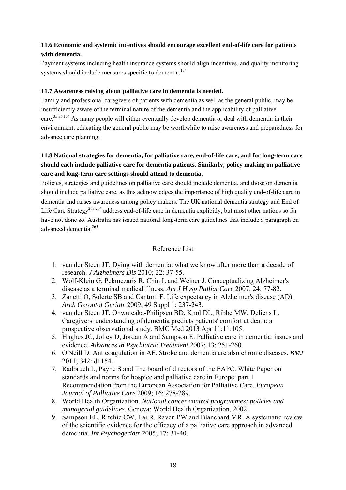### **11.6 Economic and systemic incentives should encourage excellent end-of-life care for patients with dementia.**

Payment systems including health insurance systems should align incentives, and quality monitoring systems should include measures specific to dementia.<sup>154</sup>

#### **11.7 Awareness raising about palliative care in dementia is needed.**

Family and professional caregivers of patients with dementia as well as the general public, may be insufficiently aware of the terminal nature of the dementia and the applicability of palliative care.<sup>35,36,154</sup> As many people will either eventually develop dementia or deal with dementia in their environment, educating the general public may be worthwhile to raise awareness and preparedness for advance care planning.

# **11.8 National strategies for dementia, for palliative care, end-of-life care, and for long-term care should each include palliative care for dementia patients. Similarly, policy making on palliative care and long-term care settings should attend to dementia.**

Policies, strategies and guidelines on palliative care should include dementia, and those on dementia should include palliative care, as this acknowledges the importance of high quality end-of-life care in dementia and raises awareness among policy makers. The UK national dementia strategy and End of Life Care Strategy<sup>263,264</sup> address end-of-life care in dementia explicitly, but most other nations so far have not done so. Australia has issued national long-term care guidelines that include a paragraph on advanced dementia<sup>265</sup>

#### Reference List

- 1. van der Steen JT. Dying with dementia: what we know after more than a decade of research. *J Alzheimers Dis* 2010; 22: 37-55.
- 2. Wolf-Klein G, Pekmezaris R, Chin L and Weiner J. Conceptualizing Alzheimer's disease as a terminal medical illness. *Am J Hosp Palliat Care* 2007; 24: 77-82.
- 3. Zanetti O, Solerte SB and Cantoni F. Life expectancy in Alzheimer's disease (AD). *Arch Gerontol Geriatr* 2009; 49 Suppl 1: 237-243.
- 4. van der Steen JT, Onwuteaka-Philipsen BD, Knol DL, Ribbe MW, Deliens L. Caregivers' understanding of dementia predicts patients' comfort at death: a prospective observational study. BMC Med 2013 Apr 11;11:105.
- 5. Hughes JC, Jolley D, Jordan A and Sampson E. Palliative care in dementia: issues and evidence. *Advances in Psychiatric Treatment* 2007; 13: 251-260.
- 6. O'Neill D. Anticoagulation in AF. Stroke and dementia are also chronic diseases. *BMJ* 2011; 342: d1154.
- 7. Radbruch L, Payne S and The board of directors of the EAPC. White Paper on standards and norms for hospice and palliative care in Europe: part 1 Recommendation from the European Association for Palliative Care. *European Journal of Palliative Care* 2009; 16: 278-289.
- 8. World Health Organization. *National cancer control programmes: policies and managerial guidelines*. Geneva: World Health Organization, 2002.
- 9. Sampson EL, Ritchie CW, Lai R, Raven PW and Blanchard MR. A systematic review of the scientific evidence for the efficacy of a palliative care approach in advanced dementia. *Int Psychogeriatr* 2005; 17: 31-40.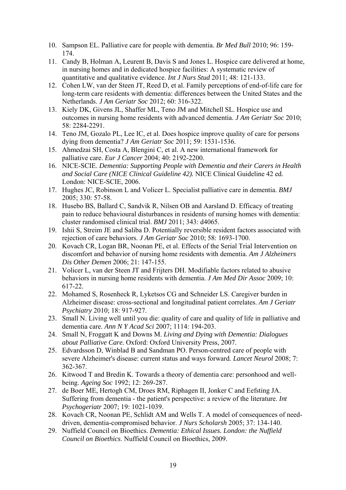- 10. Sampson EL. Palliative care for people with dementia. *Br Med Bull* 2010; 96: 159- 174.
- 11. Candy B, Holman A, Leurent B, Davis S and Jones L. Hospice care delivered at home, in nursing homes and in dedicated hospice facilities: A systematic review of quantitative and qualitative evidence. *Int J Nurs Stud* 2011; 48: 121-133.
- 12. Cohen LW, van der Steen JT, Reed D, et al. Family perceptions of end-of-life care for long-term care residents with dementia: differences between the United States and the Netherlands. *J Am Geriatr Soc* 2012; 60: 316-322.
- 13. Kiely DK, Givens JL, Shaffer ML, Teno JM and Mitchell SL. Hospice use and outcomes in nursing home residents with advanced dementia. *J Am Geriatr Soc* 2010; 58: 2284-2291.
- 14. Teno JM, Gozalo PL, Lee IC, et al. Does hospice improve quality of care for persons dying from dementia? *J Am Geriatr Soc* 2011; 59: 1531-1536.
- 15. Ahmedzai SH, Costa A, Blengini C, et al. A new international framework for palliative care. *Eur J Cancer* 2004; 40: 2192-2200.
- 16. NICE-SCIE. *Dementia: Supporting People with Dementia and their Carers in Health and Social Care (NICE Clinical Guideline 42).* NICE Clinical Guideline 42 ed. London: NICE-SCIE, 2006.
- 17. Hughes JC, Robinson L and Volicer L. Specialist palliative care in dementia. *BMJ* 2005; 330: 57-58.
- 18. Husebo BS, Ballard C, Sandvik R, Nilsen OB and Aarsland D. Efficacy of treating pain to reduce behavioural disturbances in residents of nursing homes with dementia: cluster randomised clinical trial. *BMJ* 2011; 343: d4065.
- 19. Ishii S, Streim JE and Saliba D. Potentially reversible resident factors associated with rejection of care behaviors. *J Am Geriatr Soc* 2010; 58: 1693-1700.
- 20. Kovach CR, Logan BR, Noonan PE, et al. Effects of the Serial Trial Intervention on discomfort and behavior of nursing home residents with dementia. *Am J Alzheimers Dis Other Demen* 2006; 21: 147-155.
- 21. Volicer L, van der Steen JT and Frijters DH. Modifiable factors related to abusive behaviors in nursing home residents with dementia. *J Am Med Dir Assoc* 2009; 10: 617-22.
- 22. Mohamed S, Rosenheck R, Lyketsos CG and Schneider LS. Caregiver burden in Alzheimer disease: cross-sectional and longitudinal patient correlates. *Am J Geriatr Psychiatry* 2010; 18: 917-927.
- 23. Small N. Living well until you die: quality of care and quality of life in palliative and dementia care. *Ann N Y Acad Sci* 2007; 1114: 194-203.
- 24. Small N, Froggatt K and Downs M. *Living and Dying with Dementia: Dialogues about Palliative Care.* Oxford: Oxford University Press, 2007.
- 25. Edvardsson D, Winblad B and Sandman PO. Person-centred care of people with severe Alzheimer's disease: current status and ways forward. *Lancet Neurol* 2008; 7: 362-367.
- 26. Kitwood T and Bredin K. Towards a theory of dementia care: personhood and wellbeing. *Ageing Soc* 1992; 12: 269-287.
- 27. de Boer ME, Hertogh CM, Droes RM, Riphagen II, Jonker C and Eefsting JA. Suffering from dementia - the patient's perspective: a review of the literature. *Int Psychogeriatr* 2007; 19: 1021-1039.
- 28. Kovach CR, Noonan PE, Schlidt AM and Wells T. A model of consequences of needdriven, dementia-compromised behavior. *J Nurs Scholarsh* 2005; 37: 134-140.
- 29. Nuffield Council on Bioethics. *Dementia: Ethical Issues. London: the Nuffield Council on Bioethics*. Nuffield Council on Bioethics, 2009.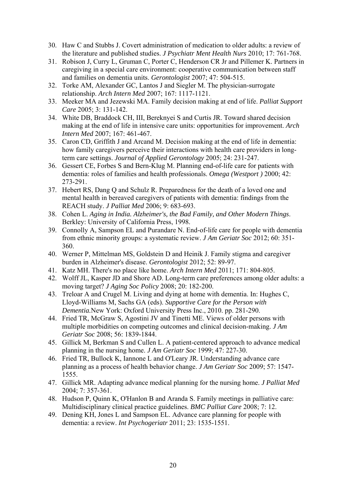- 30. Haw C and Stubbs J. Covert administration of medication to older adults: a review of the literature and published studies. *J Psychiatr Ment Health Nurs* 2010; 17: 761-768.
- 31. Robison J, Curry L, Gruman C, Porter C, Henderson CR Jr and Pillemer K. Partners in caregiving in a special care environment: cooperative communication between staff and families on dementia units. *Gerontologist* 2007; 47: 504-515.
- 32. Torke AM, Alexander GC, Lantos J and Siegler M. The physician-surrogate relationship. *Arch Intern Med* 2007; 167: 1117-1121.
- 33. Meeker MA and Jezewski MA. Family decision making at end of life. *Palliat Support Care* 2005; 3: 131-142.
- 34. White DB, Braddock CH, III, Bereknyei S and Curtis JR. Toward shared decision making at the end of life in intensive care units: opportunities for improvement. *Arch Intern Med* 2007; 167: 461-467.
- 35. Caron CD, Griffith J and Arcand M. Decision making at the end of life in dementia: how family caregivers perceive their interactions with health care providers in longterm care settings. *Journal of Applied Gerontology* 2005; 24: 231-247.
- 36. Gessert CE, Forbes S and Bern-Klug M. Planning end-of-life care for patients with dementia: roles of families and health professionals. *Omega (Westport )* 2000; 42: 273-291.
- 37. Hebert RS, Dang Q and Schulz R. Preparedness for the death of a loved one and mental health in bereaved caregivers of patients with dementia: findings from the REACH study. *J Palliat Med* 2006; 9: 683-693.
- 38. Cohen L. *Aging in India. Alzheimer's, the Bad Family, and Other Modern Things*. Berkley: University of California Press, 1998.
- 39. Connolly A, Sampson EL and Purandare N. End-of-life care for people with dementia from ethnic minority groups: a systematic review. *J Am Geriatr Soc* 2012; 60: 351- 360.
- 40. Werner P, Mittelman MS, Goldstein D and Heinik J. Family stigma and caregiver burden in Alzheimer's disease. *Gerontologist* 2012; 52: 89-97.
- 41. Katz MH. There's no place like home. *Arch Intern Med* 2011; 171: 804-805.
- 42. Wolff JL, Kasper JD and Shore AD. Long-term care preferences among older adults: a moving target? *J Aging Soc Policy* 2008; 20: 182-200.
- 43. Treloar A and Crugel M. Living and dying at home with dementia. In: Hughes C, Lloyd-Williams M, Sachs GA (eds). *Supportive Care for the Person with Dementia.*New York: Oxford University Press Inc., 2010. pp. 281-290.
- 44. Fried TR, McGraw S, Agostini JV and Tinetti ME. Views of older persons with multiple morbidities on competing outcomes and clinical decision-making. *J Am Geriatr Soc* 2008; 56: 1839-1844.
- 45. Gillick M, Berkman S and Cullen L. A patient-centered approach to advance medical planning in the nursing home. *J Am Geriatr Soc* 1999; 47: 227-30.
- 46. Fried TR, Bullock K, Iannone L and O'Leary JR. Understanding advance care planning as a process of health behavior change. *J Am Geriatr Soc* 2009; 57: 1547- 1555.
- 47. Gillick MR. Adapting advance medical planning for the nursing home. *J Palliat Med* 2004; 7: 357-361.
- 48. Hudson P, Quinn K, O'Hanlon B and Aranda S. Family meetings in palliative care: Multidisciplinary clinical practice guidelines. *BMC Palliat Care* 2008; 7: 12.
- 49. Dening KH, Jones L and Sampson EL. Advance care planning for people with dementia: a review. *Int Psychogeriatr* 2011; 23: 1535-1551.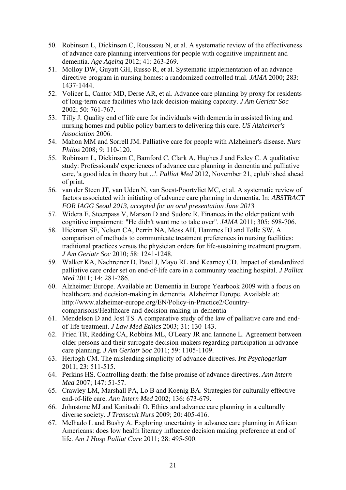- 50. Robinson L, Dickinson C, Rousseau N, et al. A systematic review of the effectiveness of advance care planning interventions for people with cognitive impairment and dementia. *Age Ageing* 2012; 41: 263-269.
- 51. Molloy DW, Guyatt GH, Russo R, et al. Systematic implementation of an advance directive program in nursing homes: a randomized controlled trial. *JAMA* 2000; 283: 1437-1444.
- 52. Volicer L, Cantor MD, Derse AR, et al. Advance care planning by proxy for residents of long-term care facilities who lack decision-making capacity. *J Am Geriatr Soc* 2002; 50: 761-767.
- 53. Tilly J. Quality end of life care for individuals with dementia in assisted living and nursing homes and public policy barriers to delivering this care. *US Alzheimer's Association* 2006.
- 54. Mahon MM and Sorrell JM. Palliative care for people with Alzheimer's disease. *Nurs Philos* 2008; 9: 110-120.
- 55. Robinson L, Dickinson C, Bamford C, Clark A, Hughes J and Exley C. A qualitative study: Professionals' experiences of advance care planning in dementia and palliative care, 'a good idea in theory but ...'. *Palliat Med* 2012, November 21, eplublished ahead of print.
- 56. van der Steen JT, van Uden N, van Soest-Poortvliet MC, et al. A systematic review of factors associated with initiating of advance care planning in dementia. In: *ABSTRACT FOR IAGG Seoul 2013, accepted for an oral presentation June 2013*
- 57. Widera E, Steenpass V, Marson D and Sudore R. Finances in the older patient with cognitive impairment: "He didn't want me to take over". *JAMA* 2011; 305: 698-706.
- 58. Hickman SE, Nelson CA, Perrin NA, Moss AH, Hammes BJ and Tolle SW. A comparison of methods to communicate treatment preferences in nursing facilities: traditional practices versus the physician orders for life-sustaining treatment program. *J Am Geriatr Soc* 2010; 58: 1241-1248.
- 59. Walker KA, Nachreiner D, Patel J, Mayo RL and Kearney CD. Impact of standardized palliative care order set on end-of-life care in a community teaching hospital. *J Palliat Med* 2011; 14: 281-286.
- 60. Alzheimer Europe. Available at: Dementia in Europe Yearbook 2009 with a focus on healthcare and decision-making in dementia. Alzheimer Europe. Available at: http://www.alzheimer-europe.org/EN/Policy-in-Practice2/Countrycomparisons/Healthcare-and-decision-making-in-dementia
- 61. Mendelson D and Jost TS. A comparative study of the law of palliative care and endof-life treatment. *J Law Med Ethics* 2003; 31: 130-143.
- 62. Fried TR, Redding CA, Robbins ML, O'Leary JR and Iannone L. Agreement between older persons and their surrogate decision-makers regarding participation in advance care planning. *J Am Geriatr Soc* 2011; 59: 1105-1109.
- 63. Hertogh CM. The misleading simplicity of advance directives. *Int Psychogeriatr* 2011; 23: 511-515.
- 64. Perkins HS. Controlling death: the false promise of advance directives. *Ann Intern Med* 2007; 147: 51-57.
- 65. Crawley LM, Marshall PA, Lo B and Koenig BA. Strategies for culturally effective end-of-life care. *Ann Intern Med* 2002; 136: 673-679.
- 66. Johnstone MJ and Kanitsaki O. Ethics and advance care planning in a culturally diverse society. *J Transcult Nurs* 2009; 20: 405-416.
- 67. Melhado L and Bushy A. Exploring uncertainty in advance care planning in African Americans: does low health literacy influence decision making preference at end of life. *Am J Hosp Palliat Care* 2011; 28: 495-500.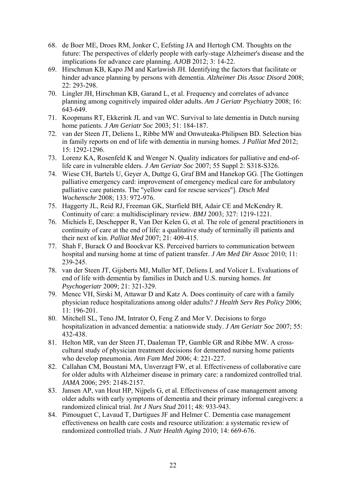- 68. de Boer ME, Droes RM, Jonker C, Eefsting JA and Hertogh CM. Thoughts on the future: The perspectives of elderly people with early-stage Alzheimer's disease and the implications for advance care planning. *AJOB* 2012; 3: 14-22.
- 69. Hirschman KB, Kapo JM and Karlawish JH. Identifying the factors that facilitate or hinder advance planning by persons with dementia. *Alzheimer Dis Assoc Disord* 2008; 22: 293-298.
- 70. Lingler JH, Hirschman KB, Garand L, et al. Frequency and correlates of advance planning among cognitively impaired older adults. *Am J Geriatr Psychiatry* 2008; 16: 643-649.
- 71. Koopmans RT, Ekkerink JL and van WC. Survival to late dementia in Dutch nursing home patients. *J Am Geriatr Soc* 2003; 51: 184-187.
- 72. van der Steen JT, Deliens L, Ribbe MW and Onwuteaka-Philipsen BD. Selection bias in family reports on end of life with dementia in nursing homes. *J Palliat Med* 2012; 15: 1292-1296.
- 73. Lorenz KA, Rosenfeld K and Wenger N. Quality indicators for palliative and end-oflife care in vulnerable elders. *J Am Geriatr Soc* 2007; 55 Suppl 2: S318-S326.
- 74. Wiese CH, Bartels U, Geyer A, Duttge G, Graf BM and Hanekop GG. [The Gottingen palliative emergency card: improvement of emergency medical care for ambulatory palliative care patients. The "yellow card for rescue services"]. *Dtsch Med Wochenschr* 2008; 133: 972-976.
- 75. Haggerty JL, Reid RJ, Freeman GK, Starfield BH, Adair CE and McKendry R. Continuity of care: a multidisciplinary review. *BMJ* 2003; 327: 1219-1221.
- 76. Michiels E, Deschepper R, Van Der Kelen G, et al. The role of general practitioners in continuity of care at the end of life: a qualitative study of terminally ill patients and their next of kin. *Palliat Med* 2007; 21: 409-415.
- 77. Shah F, Burack O and Boockvar KS. Perceived barriers to communication between hospital and nursing home at time of patient transfer. *J Am Med Dir Assoc* 2010; 11: 239-245.
- 78. van der Steen JT, Gijsberts MJ, Muller MT, Deliens L and Volicer L. Evaluations of end of life with dementia by families in Dutch and U.S. nursing homes. *Int Psychogeriatr* 2009; 21: 321-329.
- 79. Menec VH, Sirski M, Attawar D and Katz A. Does continuity of care with a family physician reduce hospitalizations among older adults? *J Health Serv Res Policy* 2006; 11: 196-201.
- 80. Mitchell SL, Teno JM, Intrator O, Feng Z and Mor V. Decisions to forgo hospitalization in advanced dementia: a nationwide study. *J Am Geriatr Soc* 2007; 55: 432-438.
- 81. Helton MR, van der Steen JT, Daaleman TP, Gamble GR and Ribbe MW. A crosscultural study of physician treatment decisions for demented nursing home patients who develop pneumonia. *Ann Fam Med* 2006; 4: 221-227.
- 82. Callahan CM, Boustani MA, Unverzagt FW, et al. Effectiveness of collaborative care for older adults with Alzheimer disease in primary care: a randomized controlled trial. *JAMA* 2006; 295: 2148-2157.
- 83. Jansen AP, van Hout HP, Nijpels G, et al. Effectiveness of case management among older adults with early symptoms of dementia and their primary informal caregivers: a randomized clinical trial. *Int J Nurs Stud* 2011; 48: 933-943.
- 84. Pimouguet C, Lavaud T, Dartigues JF and Helmer C. Dementia case management effectiveness on health care costs and resource utilization: a systematic review of randomized controlled trials. *J Nutr Health Aging* 2010; 14: 669-676.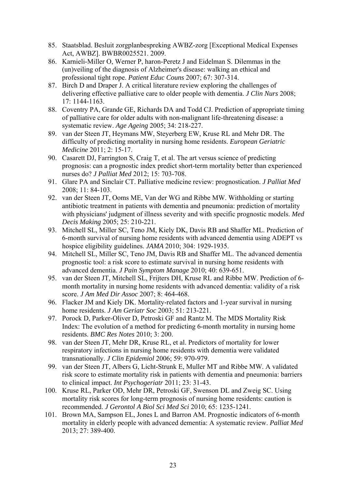- 85. Staatsblad. Besluit zorgplanbespreking AWBZ-zorg [Exceptional Medical Expenses Act, AWBZ]. BWBR0025521. 2009.
- 86. Karnieli-Miller O, Werner P, haron-Peretz J and Eidelman S. Dilemmas in the (un)veiling of the diagnosis of Alzheimer's disease: walking an ethical and professional tight rope. *Patient Educ Couns* 2007; 67: 307-314.
- 87. Birch D and Draper J. A critical literature review exploring the challenges of delivering effective palliative care to older people with dementia. *J Clin Nurs* 2008; 17: 1144-1163.
- 88. Coventry PA, Grande GE, Richards DA and Todd CJ. Prediction of appropriate timing of palliative care for older adults with non-malignant life-threatening disease: a systematic review. *Age Ageing* 2005; 34: 218-227.
- 89. van der Steen JT, Heymans MW, Steyerberg EW, Kruse RL and Mehr DR. The difficulty of predicting mortality in nursing home residents. *European Geriatric Medicine* 2011; 2: 15-17.
- 90. Casarett DJ, Farrington S, Craig T, et al. The art versus science of predicting prognosis: can a prognostic index predict short-term mortality better than experienced nurses do? *J Palliat Med* 2012; 15: 703-708.
- 91. Glare PA and Sinclair CT. Palliative medicine review: prognostication. *J Palliat Med* 2008; 11: 84-103.
- 92. van der Steen JT, Ooms ME, Van der WG and Ribbe MW. Withholding or starting antibiotic treatment in patients with dementia and pneumonia: prediction of mortality with physicians' judgment of illness severity and with specific prognostic models. *Med Decis Making* 2005; 25: 210-221.
- 93. Mitchell SL, Miller SC, Teno JM, Kiely DK, Davis RB and Shaffer ML. Prediction of 6-month survival of nursing home residents with advanced dementia using ADEPT vs hospice eligibility guidelines. *JAMA* 2010; 304: 1929-1935.
- 94. Mitchell SL, Miller SC, Teno JM, Davis RB and Shaffer ML. The advanced dementia prognostic tool: a risk score to estimate survival in nursing home residents with advanced dementia. *J Pain Symptom Manage* 2010; 40: 639-651.
- 95. van der Steen JT, Mitchell SL, Frijters DH, Kruse RL and Ribbe MW. Prediction of 6 month mortality in nursing home residents with advanced dementia: validity of a risk score. *J Am Med Dir Assoc* 2007; 8: 464-468.
- 96. Flacker JM and Kiely DK. Mortality-related factors and 1-year survival in nursing home residents. *J Am Geriatr Soc* 2003; 51: 213-221.
- 97. Porock D, Parker-Oliver D, Petroski GF and Rantz M. The MDS Mortality Risk Index: The evolution of a method for predicting 6-month mortality in nursing home residents. *BMC Res Notes* 2010; 3: 200.
- 98. van der Steen JT, Mehr DR, Kruse RL, et al. Predictors of mortality for lower respiratory infections in nursing home residents with dementia were validated transnationally. *J Clin Epidemiol* 2006; 59: 970-979.
- 99. van der Steen JT, Albers G, Licht-Strunk E, Muller MT and Ribbe MW. A validated risk score to estimate mortality risk in patients with dementia and pneumonia: barriers to clinical impact. *Int Psychogeriatr* 2011; 23: 31-43.
- 100. Kruse RL, Parker OD, Mehr DR, Petroski GF, Swenson DL and Zweig SC. Using mortality risk scores for long-term prognosis of nursing home residents: caution is recommended. *J Gerontol A Biol Sci Med Sci* 2010; 65: 1235-1241.
- 101. Brown MA, Sampson EL, Jones L and Barron AM. Prognostic indicators of 6-month mortality in elderly people with advanced dementia: A systematic review. *Palliat Med* 2013; 27: 389-400.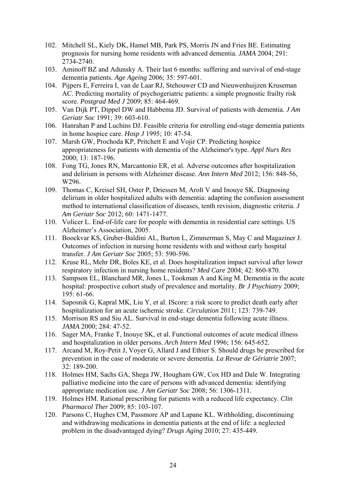- 102. Mitchell SL, Kiely DK, Hamel MB, Park PS, Morris JN and Fries BE. Estimating prognosis for nursing home residents with advanced dementia. *JAMA* 2004; 291: 2734-2740.
- 103. Aminoff BZ and Adunsky A. Their last 6 months: suffering and survival of end-stage dementia patients. *Age Ageing* 2006; 35: 597-601.
- 104. Pijpers E, Ferreira I, van de Laar RJ, Stehouwer CD and Nieuwenhuijzen Kruseman AC. Predicting mortality of psychogeriatric patients: a simple prognostic frailty risk score. *Postgrad Med J* 2009; 85: 464-469.
- 105. Van Dijk PT, Dippel DW and Habbema JD. Survival of patients with dementia. *J Am Geriatr Soc* 1991; 39: 603-610.
- 106. Hanrahan P and Luchins DJ. Feasible criteria for enrolling end-stage dementia patients in home hospice care. *Hosp J* 1995; 10: 47-54.
- 107. Marsh GW, Prochoda KP, Pritchett E and Vojir CP. Predicting hospice appropriateness for patients with dementia of the Alzheimer's type. *Appl Nurs Res* 2000; 13: 187-196.
- 108. Fong TG, Jones RN, Marcantonio ER, et al. Adverse outcomes after hospitalization and delirium in persons with Alzheimer disease. *Ann Intern Med* 2012; 156: 848-56, W296.
- 109. Thomas C, Kreisel SH, Oster P, Driessen M, Arolt V and Inouye SK. Diagnosing delirium in older hospitalized adults with dementia: adapting the confusion assessment method to international classification of diseases, tenth revision, diagnostic criteria. *J Am Geriatr Soc* 2012; 60: 1471-1477.
- 110. Volicer L. End-of-life care for people with dementia in residential care settings. US Alzheimer's Association, 2005.
- 111. Boockvar KS, Gruber-Baldini AL, Burton L, Zimmerman S, May C and Magaziner J. Outcomes of infection in nursing home residents with and without early hospital transfer. *J Am Geriatr Soc* 2005; 53: 590-596.
- 112. Kruse RL, Mehr DR, Boles KE, et al. Does hospitalization impact survival after lower respiratory infection in nursing home residents? *Med Care* 2004; 42: 860-870.
- 113. Sampson EL, Blanchard MR, Jones L, Tookman A and King M. Dementia in the acute hospital: prospective cohort study of prevalence and mortality. *Br J Psychiatry* 2009; 195: 61-66.
- 114. Saposnik G, Kapral MK, Liu Y, et al. IScore: a risk score to predict death early after hospitalization for an acute ischemic stroke. *Circulation* 2011; 123: 739-749.
- 115. Morrison RS and Siu AL. Survival in end-stage dementia following acute illness. *JAMA* 2000; 284: 47-52.
- 116. Sager MA, Franke T, Inouye SK, et al. Functional outcomes of acute medical illness and hospitalization in older persons. *Arch Intern Med* 1996; 156: 645-652.
- 117. Arcand M, Roy-Petit J, Voyer G, Allard J and Ethier S. Should drugs be prescribed for prevention in the case of moderate or severe dementia. *La Revue de Gériatrie* 2007;  $32 \cdot 189 - 200$
- 118. Holmes HM, Sachs GA, Shega JW, Hougham GW, Cox HD and Dale W. Integrating palliative medicine into the care of persons with advanced dementia: identifying appropriate medication use. *J Am Geriatr Soc* 2008; 56: 1306-1311.
- 119. Holmes HM. Rational prescribing for patients with a reduced life expectancy. *Clin Pharmacol Ther* 2009; 85: 103-107.
- 120. Parsons C, Hughes CM, Passmore AP and Lapane KL. Withholding, discontinuing and withdrawing medications in dementia patients at the end of life: a neglected problem in the disadvantaged dying? *Drugs Aging* 2010; 27: 435-449.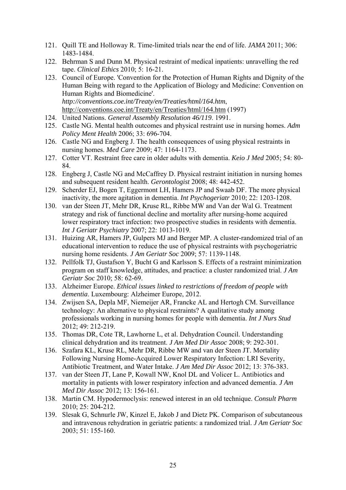- 121. Quill TE and Holloway R. Time-limited trials near the end of life. *JAMA* 2011; 306: 1483-1484.
- 122. Behrman S and Dunn M. Physical restraint of medical inpatients: unravelling the red tape. *Clinical Ethics* 2010; 5: 16-21.
- 123. Council of Europe. 'Convention for the Protection of Human Rights and Dignity of the Human Being with regard to the Application of Biology and Medicine: Convention on Human Rights and Biomedicine'. *http://conventions.coe.int/Treaty/en/Treaties/html/164.htm*, http://conventions.coe.int/Treaty/en/Treaties/html/164.htm (1997)
- 124. United Nations. *General Assembly Resolution 46/119*. 1991.
- 125. Castle NG. Mental health outcomes and physical restraint use in nursing homes. *Adm Policy Ment Health* 2006; 33: 696-704.
- 126. Castle NG and Engberg J. The health consequences of using physical restraints in nursing homes. *Med Care* 2009; 47: 1164-1173.
- 127. Cotter VT. Restraint free care in older adults with dementia. *Keio J Med* 2005; 54: 80- 84.
- 128. Engberg J, Castle NG and McCaffrey D. Physical restraint initiation in nursing homes and subsequent resident health. *Gerontologist* 2008; 48: 442-452.
- 129. Scherder EJ, Bogen T, Eggermont LH, Hamers JP and Swaab DF. The more physical inactivity, the more agitation in dementia. *Int Psychogeriatr* 2010; 22: 1203-1208.
- 130. van der Steen JT, Mehr DR, Kruse RL, Ribbe MW and Van der Wal G. Treatment strategy and risk of functional decline and mortality after nursing-home acquired lower respiratory tract infection: two prospective studies in residents with dementia. *Int J Geriatr Psychiatry* 2007; 22: 1013-1019.
- 131. Huizing AR, Hamers JP, Gulpers MJ and Berger MP. A cluster-randomized trial of an educational intervention to reduce the use of physical restraints with psychogeriatric nursing home residents. *J Am Geriatr Soc* 2009; 57: 1139-1148.
- 132. Pellfolk TJ, Gustafson Y, Bucht G and Karlsson S. Effects of a restraint minimization program on staff knowledge, attitudes, and practice: a cluster randomized trial. *J Am Geriatr Soc* 2010; 58: 62-69.
- 133. Alzheimer Europe. *Ethical issues linked to restrictions of freedom of people with dementia*. Luxembourg: Alzheimer Europe, 2012.
- 134. Zwijsen SA, Depla MF, Niemeijer AR, Francke AL and Hertogh CM. Surveillance technology: An alternative to physical restraints? A qualitative study among professionals working in nursing homes for people with dementia. *Int J Nurs Stud* 2012; 49: 212-219.
- 135. Thomas DR, Cote TR, Lawhorne L, et al. Dehydration Council. Understanding clinical dehydration and its treatment. *J Am Med Dir Assoc* 2008; 9: 292-301.
- 136. Szafara KL, Kruse RL, Mehr DR, Ribbe MW and van der Steen JT. Mortality Following Nursing Home-Acquired Lower Respiratory Infection: LRI Severity, Antibiotic Treatment, and Water Intake. *J Am Med Dir Assoc* 2012; 13: 376-383.
- 137. van der Steen JT, Lane P, Kowall NW, Knol DL and Volicer L. Antibiotics and mortality in patients with lower respiratory infection and advanced dementia. *J Am Med Dir Assoc* 2012; 13: 156-161.
- 138. Martin CM. Hypodermoclysis: renewed interest in an old technique. *Consult Pharm* 2010; 25: 204-212.
- 139. Slesak G, Schnurle JW, Kinzel E, Jakob J and Dietz PK. Comparison of subcutaneous and intravenous rehydration in geriatric patients: a randomized trial. *J Am Geriatr Soc* 2003; 51: 155-160.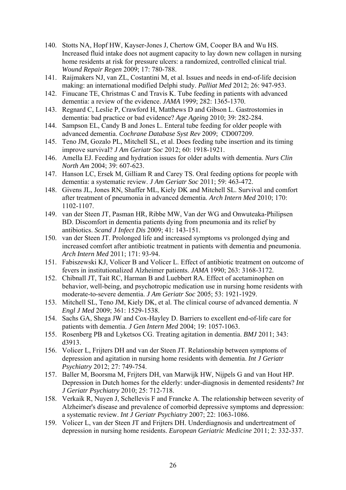- 140. Stotts NA, Hopf HW, Kayser-Jones J, Chertow GM, Cooper BA and Wu HS. Increased fluid intake does not augment capacity to lay down new collagen in nursing home residents at risk for pressure ulcers: a randomized, controlled clinical trial. *Wound Repair Regen* 2009; 17: 780-788.
- 141. Raijmakers NJ, van ZL, Costantini M, et al. Issues and needs in end-of-life decision making: an international modified Delphi study. *Palliat Med* 2012; 26: 947-953.
- 142. Finucane TE, Christmas C and Travis K. Tube feeding in patients with advanced dementia: a review of the evidence. *JAMA* 1999; 282: 1365-1370.
- 143. Regnard C, Leslie P, Crawford H, Matthews D and Gibson L. Gastrostomies in dementia: bad practice or bad evidence? *Age Ageing* 2010; 39: 282-284.
- 144. Sampson EL, Candy B and Jones L. Enteral tube feeding for older people with advanced dementia. *Cochrane Database Syst Rev* 2009; CD007209.
- 145. Teno JM, Gozalo PL, Mitchell SL, et al. Does feeding tube insertion and its timing improve survival? *J Am Geriatr Soc* 2012; 60: 1918-1921.
- 146. Amella EJ. Feeding and hydration issues for older adults with dementia. *Nurs Clin North Am* 2004; 39: 607-623.
- 147. Hanson LC, Ersek M, Gilliam R and Carey TS. Oral feeding options for people with dementia: a systematic review. *J Am Geriatr Soc* 2011; 59: 463-472.
- 148. Givens JL, Jones RN, Shaffer ML, Kiely DK and Mitchell SL. Survival and comfort after treatment of pneumonia in advanced dementia. *Arch Intern Med* 2010; 170: 1102-1107.
- 149. van der Steen JT, Pasman HR, Ribbe MW, Van der WG and Onwuteaka-Philipsen BD. Discomfort in dementia patients dying from pneumonia and its relief by antibiotics. *Scand J Infect Dis* 2009; 41: 143-151.
- 150. van der Steen JT. Prolonged life and increased symptoms vs prolonged dying and increased comfort after antibiotic treatment in patients with dementia and pneumonia. *Arch Intern Med* 2011; 171: 93-94.
- 151. Fabiszewski KJ, Volicer B and Volicer L. Effect of antibiotic treatment on outcome of fevers in institutionalized Alzheimer patients. *JAMA* 1990; 263: 3168-3172.
- 152. Chibnall JT, Tait RC, Harman B and Luebbert RA. Effect of acetaminophen on behavior, well-being, and psychotropic medication use in nursing home residents with moderate-to-severe dementia. *J Am Geriatr Soc* 2005; 53: 1921-1929.
- 153. Mitchell SL, Teno JM, Kiely DK, et al. The clinical course of advanced dementia. *N Engl J Med* 2009; 361: 1529-1538.
- 154. Sachs GA, Shega JW and Cox-Hayley D. Barriers to excellent end-of-life care for patients with dementia. *J Gen Intern Med* 2004; 19: 1057-1063.
- 155. Rosenberg PB and Lyketsos CG. Treating agitation in dementia. *BMJ* 2011; 343: d3913.
- 156. Volicer L, Frijters DH and van der Steen JT. Relationship between symptoms of depression and agitation in nursing home residents with dementia. *Int J Geriatr Psychiatry* 2012; 27: 749-754.
- 157. Baller M, Boorsma M, Frijters DH, van Marwijk HW, Nijpels G and van Hout HP. Depression in Dutch homes for the elderly: under-diagnosis in demented residents? *Int J Geriatr Psychiatry* 2010; 25: 712-718.
- 158. Verkaik R, Nuyen J, Schellevis F and Francke A. The relationship between severity of Alzheimer's disease and prevalence of comorbid depressive symptoms and depression: a systematic review. *Int J Geriatr Psychiatry* 2007; 22: 1063-1086.
- 159. Volicer L, van der Steen JT and Frijters DH. Underdiagnosis and undertreatment of depression in nursing home residents. *European Geriatric Medicine* 2011; 2: 332-337.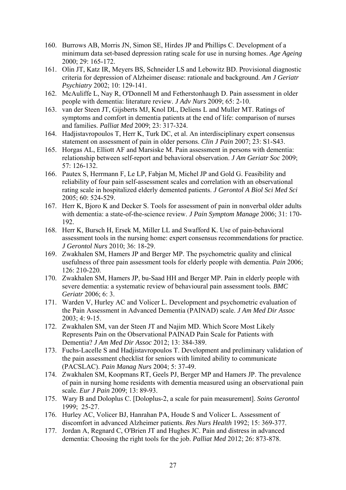- 160. Burrows AB, Morris JN, Simon SE, Hirdes JP and Phillips C. Development of a minimum data set-based depression rating scale for use in nursing homes. *Age Ageing* 2000; 29: 165-172.
- 161. Olin JT, Katz IR, Meyers BS, Schneider LS and Lebowitz BD. Provisional diagnostic criteria for depression of Alzheimer disease: rationale and background. *Am J Geriatr Psychiatry* 2002; 10: 129-141.
- 162. McAuliffe L, Nay R, O'Donnell M and Fetherstonhaugh D. Pain assessment in older people with dementia: literature review. *J Adv Nurs* 2009; 65: 2-10.
- 163. van der Steen JT, Gijsberts MJ, Knol DL, Deliens L and Muller MT. Ratings of symptoms and comfort in dementia patients at the end of life: comparison of nurses and families. *Palliat Med* 2009; 23: 317-324.
- 164. Hadjistavropoulos T, Herr K, Turk DC, et al. An interdisciplinary expert consensus statement on assessment of pain in older persons. *Clin J Pain* 2007; 23: S1-S43.
- 165. Horgas AL, Elliott AF and Marsiske M. Pain assessment in persons with dementia: relationship between self-report and behavioral observation. *J Am Geriatr Soc* 2009; 57: 126-132.
- 166. Pautex S, Herrmann F, Le LP, Fabjan M, Michel JP and Gold G. Feasibility and reliability of four pain self-assessment scales and correlation with an observational rating scale in hospitalized elderly demented patients. *J Gerontol A Biol Sci Med Sci* 2005; 60: 524-529.
- 167. Herr K, Bjoro K and Decker S. Tools for assessment of pain in nonverbal older adults with dementia: a state-of-the-science review. *J Pain Symptom Manage* 2006; 31: 170- 192.
- 168. Herr K, Bursch H, Ersek M, Miller LL and Swafford K. Use of pain-behavioral assessment tools in the nursing home: expert consensus recommendations for practice. *J Gerontol Nurs* 2010; 36: 18-29.
- 169. Zwakhalen SM, Hamers JP and Berger MP. The psychometric quality and clinical usefulness of three pain assessment tools for elderly people with dementia. *Pain* 2006; 126: 210-220.
- 170. Zwakhalen SM, Hamers JP, bu-Saad HH and Berger MP. Pain in elderly people with severe dementia: a systematic review of behavioural pain assessment tools. *BMC Geriatr* 2006; 6: 3.
- 171. Warden V, Hurley AC and Volicer L. Development and psychometric evaluation of the Pain Assessment in Advanced Dementia (PAINAD) scale. *J Am Med Dir Assoc* 2003; 4: 9-15.
- 172. Zwakhalen SM, van der Steen JT and Najim MD. Which Score Most Likely Represents Pain on the Observational PAINAD Pain Scale for Patients with Dementia? *J Am Med Dir Assoc* 2012; 13: 384-389.
- 173. Fuchs-Lacelle S and Hadjistavropoulos T. Development and preliminary validation of the pain assessment checklist for seniors with limited ability to communicate (PACSLAC). *Pain Manag Nurs* 2004; 5: 37-49.
- 174. Zwakhalen SM, Koopmans RT, Geels PJ, Berger MP and Hamers JP. The prevalence of pain in nursing home residents with dementia measured using an observational pain scale. *Eur J Pain* 2009; 13: 89-93.
- 175. Wary B and Doloplus C. [Doloplus-2, a scale for pain measurement]. *Soins Gerontol* 1999; 25-27.
- 176. Hurley AC, Volicer BJ, Hanrahan PA, Houde S and Volicer L. Assessment of discomfort in advanced Alzheimer patients. *Res Nurs Health* 1992; 15: 369-377.
- 177. Jordan A, Regnard C, O'Brien JT and Hughes JC. Pain and distress in advanced dementia: Choosing the right tools for the job. *Palliat Med* 2012; 26: 873-878.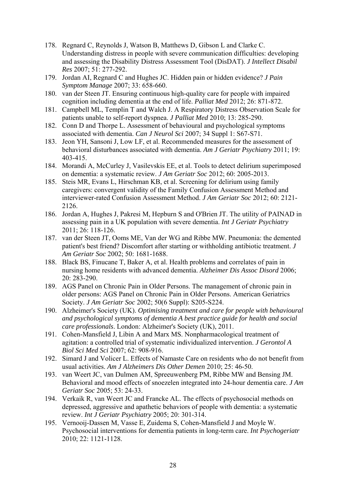- 178. Regnard C, Reynolds J, Watson B, Matthews D, Gibson L and Clarke C. Understanding distress in people with severe communication difficulties: developing and assessing the Disability Distress Assessment Tool (DisDAT). *J Intellect Disabil Res* 2007; 51: 277-292.
- 179. Jordan AI, Regnard C and Hughes JC. Hidden pain or hidden evidence? *J Pain Symptom Manage* 2007; 33: 658-660.
- 180. van der Steen JT. Ensuring continuous high-quality care for people with impaired cognition including dementia at the end of life. *Palliat Med* 2012; 26: 871-872.
- 181. Campbell ML, Templin T and Walch J. A Respiratory Distress Observation Scale for patients unable to self-report dyspnea. *J Palliat Med* 2010; 13: 285-290.
- 182. Conn D and Thorpe L. Assessment of behavioural and psychological symptoms associated with dementia. *Can J Neurol Sci* 2007; 34 Suppl 1: S67-S71.
- 183. Jeon YH, Sansoni J, Low LF, et al. Recommended measures for the assessment of behavioral disturbances associated with dementia. *Am J Geriatr Psychiatry* 2011; 19: 403-415.
- 184. Morandi A, McCurley J, Vasilevskis EE, et al. Tools to detect delirium superimposed on dementia: a systematic review. *J Am Geriatr Soc* 2012; 60: 2005-2013.
- 185. Steis MR, Evans L, Hirschman KB, et al. Screening for delirium using family caregivers: convergent validity of the Family Confusion Assessment Method and interviewer-rated Confusion Assessment Method. *J Am Geriatr Soc* 2012; 60: 2121- 2126.
- 186. Jordan A, Hughes J, Pakresi M, Hepburn S and O'Brien JT. The utility of PAINAD in assessing pain in a UK population with severe dementia. *Int J Geriatr Psychiatry* 2011; 26: 118-126.
- 187. van der Steen JT, Ooms ME, Van der WG and Ribbe MW. Pneumonia: the demented patient's best friend? Discomfort after starting or withholding antibiotic treatment. *J Am Geriatr Soc* 2002; 50: 1681-1688.
- 188. Black BS, Finucane T, Baker A, et al. Health problems and correlates of pain in nursing home residents with advanced dementia. *Alzheimer Dis Assoc Disord* 2006; 20: 283-290.
- 189. AGS Panel on Chronic Pain in Older Persons. The management of chronic pain in older persons: AGS Panel on Chronic Pain in Older Persons. American Geriatrics Society. *J Am Geriatr Soc* 2002; 50(6 Suppl): S205-S224.
- 190. Alzheimer's Society (UK). *Optimising treatment and care for people with behavioural and psychological symptoms of dementia A best practice guide for health and social care professionals*. London: Alzheimer's Society (UK), 2011.
- 191. Cohen-Mansfield J, Libin A and Marx MS. Nonpharmacological treatment of agitation: a controlled trial of systematic individualized intervention. *J Gerontol A Biol Sci Med Sci* 2007; 62: 908-916.
- 192. Simard J and Volicer L. Effects of Namaste Care on residents who do not benefit from usual activities. *Am J Alzheimers Dis Other Demen* 2010; 25: 46-50.
- 193. van Weert JC, van Dulmen AM, Spreeuwenberg PM, Ribbe MW and Bensing JM. Behavioral and mood effects of snoezelen integrated into 24-hour dementia care. *J Am Geriatr Soc* 2005; 53: 24-33.
- 194. Verkaik R, van Weert JC and Francke AL. The effects of psychosocial methods on depressed, aggressive and apathetic behaviors of people with dementia: a systematic review. *Int J Geriatr Psychiatry* 2005; 20: 301-314.
- 195. Vernooij-Dassen M, Vasse E, Zuidema S, Cohen-Mansfield J and Moyle W. Psychosocial interventions for dementia patients in long-term care. *Int Psychogeriatr* 2010; 22: 1121-1128.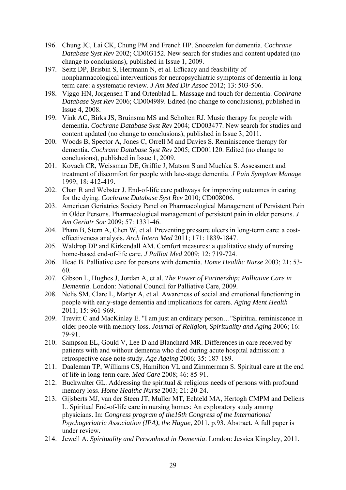- 196. Chung JC, Lai CK, Chung PM and French HP. Snoezelen for dementia. *Cochrane Database Syst Rev* 2002; CD003152. New search for studies and content updated (no change to conclusions), published in Issue 1, 2009.
- 197. Seitz DP, Brisbin S, Herrmann N, et al. Efficacy and feasibility of nonpharmacological interventions for neuropsychiatric symptoms of dementia in long term care: a systematic review. *J Am Med Dir Assoc* 2012; 13: 503-506.
- 198. Viggo HN, Jorgensen T and Ortenblad L. Massage and touch for dementia. *Cochrane Database Syst Rev* 2006; CD004989. Edited (no change to conclusions), published in Issue 4, 2008.
- 199. Vink AC, Birks JS, Bruinsma MS and Scholten RJ. Music therapy for people with dementia. *Cochrane Database Syst Rev* 2004; CD003477. New search for studies and content updated (no change to conclusions), published in Issue 3, 2011.
- 200. Woods B, Spector A, Jones C, Orrell M and Davies S. Reminiscence therapy for dementia. *Cochrane Database Syst Rev* 2005; CD001120. Edited (no change to conclusions), published in Issue 1, 2009.
- 201. Kovach CR, Weissman DE, Griffie J, Matson S and Muchka S. Assessment and treatment of discomfort for people with late-stage dementia. *J Pain Symptom Manage* 1999; 18: 412-419.
- 202. Chan R and Webster J. End-of-life care pathways for improving outcomes in caring for the dying. *Cochrane Database Syst Rev* 2010; CD008006.
- 203. American Geriatrics Society Panel on Pharmacological Management of Persistent Pain in Older Persons. Pharmacological management of persistent pain in older persons. *J Am Geriatr Soc* 2009; 57: 1331-46.
- 204. Pham B, Stern A, Chen W, et al. Preventing pressure ulcers in long-term care: a costeffectiveness analysis. *Arch Intern Med* 2011; 171: 1839-1847.
- 205. Waldrop DP and Kirkendall AM. Comfort measures: a qualitative study of nursing home-based end-of-life care. *J Palliat Med* 2009; 12: 719-724.
- 206. Head B. Palliative care for persons with dementia. *Home Healthc Nurse* 2003; 21: 53- 60.
- 207. Gibson L, Hughes J, Jordan A, et al. *The Power of Partnership: Palliative Care in Dementia*. London: National Council for Palliative Care, 2009.
- 208. Nelis SM, Clare L, Martyr A, et al. Awareness of social and emotional functioning in people with early-stage dementia and implications for carers. *Aging Ment Health* 2011; 15: 961-969.
- 209. Trevitt C and MacKinlay E. "I am just an ordinary person…"Spiritual reminiscence in older people with memory loss. *Journal of Religion, Spirituality and Aging* 2006; 16: 79-91.
- 210. Sampson EL, Gould V, Lee D and Blanchard MR. Differences in care received by patients with and without dementia who died during acute hospital admission: a retrospective case note study. *Age Ageing* 2006; 35: 187-189.
- 211. Daaleman TP, Williams CS, Hamilton VL and Zimmerman S. Spiritual care at the end of life in long-term care. *Med Care* 2008; 46: 85-91.
- 212. Buckwalter GL. Addressing the spiritual & religious needs of persons with profound memory loss. *Home Healthc Nurse* 2003; 21: 20-24.
- 213. Gijsberts MJ, van der Steen JT, Muller MT, Echteld MA, Hertogh CMPM and Deliens L. Spiritual End-of-life care in nursing homes: An exploratory study among physicians. In: *Congress program of the15th Congress of the International Psychogeriatric Association (IPA), the Hague,* 2011, p.93. Abstract. A full paper is under review.
- 214. Jewell A. *Spirituality and Personhood in Dementia*. London: Jessica Kingsley, 2011.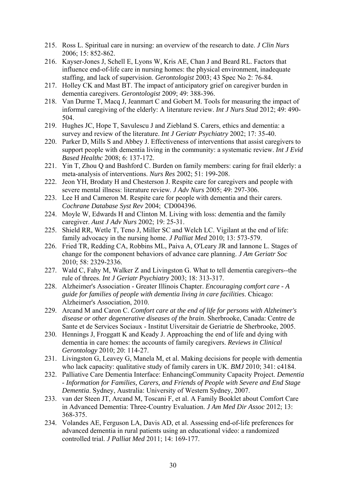- 215. Ross L. Spiritual care in nursing: an overview of the research to date. *J Clin Nurs* 2006; 15: 852-862.
- 216. Kayser-Jones J, Schell E, Lyons W, Kris AE, Chan J and Beard RL. Factors that influence end-of-life care in nursing homes: the physical environment, inadequate staffing, and lack of supervision. *Gerontologist* 2003; 43 Spec No 2: 76-84.
- 217. Holley CK and Mast BT. The impact of anticipatory grief on caregiver burden in dementia caregivers. *Gerontologist* 2009; 49: 388-396.
- 218. Van Durme T, Macq J, Jeanmart C and Gobert M. Tools for measuring the impact of informal caregiving of the elderly: A literature review. *Int J Nurs Stud* 2012; 49: 490- 504.
- 219. Hughes JC, Hope T, Savulescu J and Ziebland S. Carers, ethics and dementia: a survey and review of the literature. *Int J Geriatr Psychiatry* 2002; 17: 35-40.
- 220. Parker D, Mills S and Abbey J. Effectiveness of interventions that assist caregivers to support people with dementia living in the community: a systematic review. *Int J Evid Based Healthc* 2008; 6: 137-172.
- 221. Yin T, Zhou Q and Bashford C. Burden on family members: caring for frail elderly: a meta-analysis of interventions. *Nurs Res* 2002; 51: 199-208.
- 222. Jeon YH, Brodaty H and Chesterson J. Respite care for caregivers and people with severe mental illness: literature review. *J Adv Nurs* 2005; 49: 297-306.
- 223. Lee H and Cameron M. Respite care for people with dementia and their carers. *Cochrane Database Syst Rev* 2004; CD004396.
- 224. Moyle W, Edwards H and Clinton M. Living with loss: dementia and the family caregiver. *Aust J Adv Nurs* 2002; 19: 25-31.
- 225. Shield RR, Wetle T, Teno J, Miller SC and Welch LC. Vigilant at the end of life: family advocacy in the nursing home. *J Palliat Med* 2010; 13: 573-579.
- 226. Fried TR, Redding CA, Robbins ML, Paiva A, O'Leary JR and Iannone L. Stages of change for the component behaviors of advance care planning. *J Am Geriatr Soc* 2010; 58: 2329-2336.
- 227. Wald C, Fahy M, Walker Z and Livingston G. What to tell dementia caregivers--the rule of threes. *Int J Geriatr Psychiatry* 2003; 18: 313-317.
- 228. Alzheimer's Association Greater Illinois Chapter. *Encouraging comfort care A guide for families of people with dementia living in care facilities*. Chicago: Alzheimer's Association, 2010.
- 229. Arcand M and Caron C. *Comfort care at the end of life for persons with Alzheimer's disease or other degenerative diseases of the brain*. Sherbrooke, Canada: Centre de Sante et de Services Sociaux - Institut Uiversitair de Geriatrie de Sherbrooke, 2005.
- 230. Hennings J, Froggatt K and Keady J. Approaching the end of life and dying with dementia in care homes: the accounts of family caregivers. *Reviews in Clinical Gerontology* 2010; 20: 114-27.
- 231. Livingston G, Leavey G, Manela M, et al. Making decisions for people with dementia who lack capacity: qualitative study of family carers in UK. *BMJ* 2010; 341: c4184.
- 232. Palliative Care Dementia Interface: EnhancingCommunity Capacity Project. *Dementia - Information for Families, Carers, and Friends of People with Severe and End Stage Dementia*. Sydney, Australia: University of Western Sydney, 2007.
- 233. van der Steen JT, Arcand M, Toscani F, et al. A Family Booklet about Comfort Care in Advanced Dementia: Three-Country Evaluation. *J Am Med Dir Assoc* 2012; 13: 368-375.
- 234. Volandes AE, Ferguson LA, Davis AD, et al. Assessing end-of-life preferences for advanced dementia in rural patients using an educational video: a randomized controlled trial. *J Palliat Med* 2011; 14: 169-177.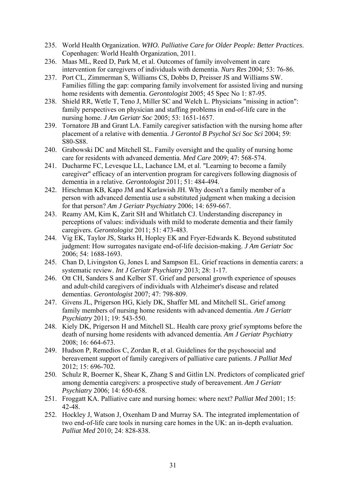- 235. World Health Organization. *WHO. Palliative Care for Older People: Better Practices*. Copenhagen: World Health Organization, 2011.
- 236. Maas ML, Reed D, Park M, et al. Outcomes of family involvement in care intervention for caregivers of individuals with dementia. *Nurs Res* 2004; 53: 76-86.
- 237. Port CL, Zimmerman S, Williams CS, Dobbs D, Preisser JS and Williams SW. Families filling the gap: comparing family involvement for assisted living and nursing home residents with dementia. *Gerontologist* 2005; 45 Spec No 1: 87-95.
- 238. Shield RR, Wetle T, Teno J, Miller SC and Welch L. Physicians "missing in action": family perspectives on physician and staffing problems in end-of-life care in the nursing home. *J Am Geriatr Soc* 2005; 53: 1651-1657.
- 239. Tornatore JB and Grant LA. Family caregiver satisfaction with the nursing home after placement of a relative with dementia. *J Gerontol B Psychol Sci Soc Sci* 2004; 59: S80-S88.
- 240. Grabowski DC and Mitchell SL. Family oversight and the quality of nursing home care for residents with advanced dementia. *Med Care* 2009; 47: 568-574.
- 241. Ducharme FC, Levesque LL, Lachance LM, et al. "Learning to become a family caregiver" efficacy of an intervention program for caregivers following diagnosis of dementia in a relative. *Gerontologist* 2011; 51: 484-494.
- 242. Hirschman KB, Kapo JM and Karlawish JH. Why doesn't a family member of a person with advanced dementia use a substituted judgment when making a decision for that person? *Am J Geriatr Psychiatry* 2006; 14: 659-667.
- 243. Reamy AM, Kim K, Zarit SH and Whitlatch CJ. Understanding discrepancy in perceptions of values: individuals with mild to moderate dementia and their family caregivers. *Gerontologist* 2011; 51: 473-483.
- 244. Vig EK, Taylor JS, Starks H, Hopley EK and Fryer-Edwards K. Beyond substituted judgment: How surrogates navigate end-of-life decision-making. *J Am Geriatr Soc* 2006; 54: 1688-1693.
- 245. Chan D, Livingston G, Jones L and Sampson EL. Grief reactions in dementia carers: a systematic review. *Int J Geriatr Psychiatry* 2013; 28: 1-17.
- 246. Ott CH, Sanders S and Kelber ST. Grief and personal growth experience of spouses and adult-child caregivers of individuals with Alzheimer's disease and related dementias. *Gerontologist* 2007; 47: 798-809.
- 247. Givens JL, Prigerson HG, Kiely DK, Shaffer ML and Mitchell SL. Grief among family members of nursing home residents with advanced dementia. *Am J Geriatr Psychiatry* 2011; 19: 543-550.
- 248. Kiely DK, Prigerson H and Mitchell SL. Health care proxy grief symptoms before the death of nursing home residents with advanced dementia. *Am J Geriatr Psychiatry* 2008; 16: 664-673.
- 249. Hudson P, Remedios C, Zordan R, et al. Guidelines for the psychosocial and bereavement support of family caregivers of palliative care patients. *J Palliat Med* 2012; 15: 696-702.
- 250. Schulz R, Boerner K, Shear K, Zhang S and Gitlin LN. Predictors of complicated grief among dementia caregivers: a prospective study of bereavement. *Am J Geriatr Psychiatry* 2006; 14: 650-658.
- 251. Froggatt KA. Palliative care and nursing homes: where next? *Palliat Med* 2001; 15: 42-48.
- 252. Hockley J, Watson J, Oxenham D and Murray SA. The integrated implementation of two end-of-life care tools in nursing care homes in the UK: an in-depth evaluation. *Palliat Med* 2010; 24: 828-838.